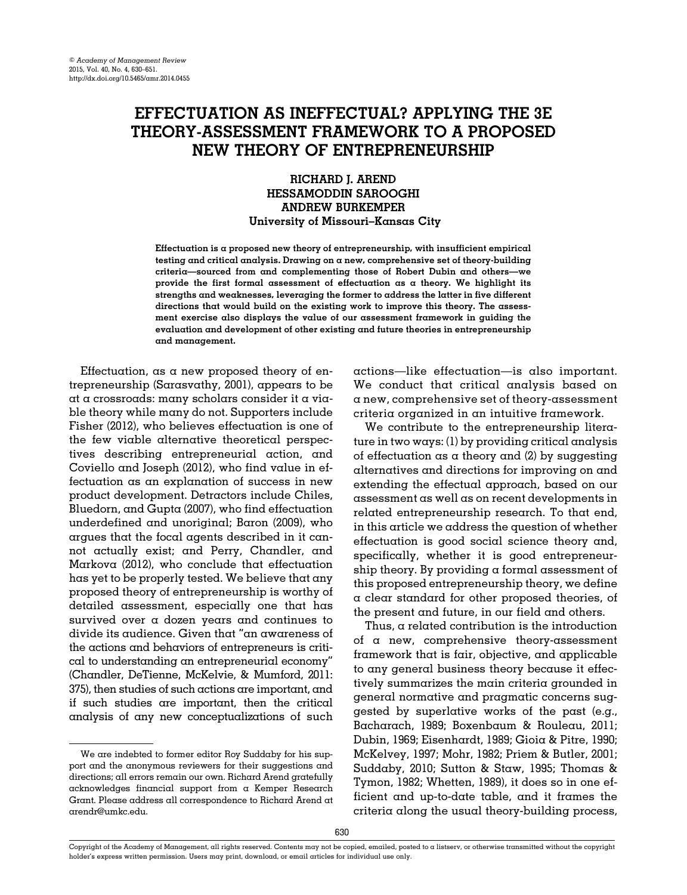# EFFECTUATION AS INEFFECTUAL? APPLYING THE 3E THEORY-ASSESSMENT FRAMEWORK TO A PROPOSED NEW THEORY OF ENTREPRENEURSHIP

# RICHARD J. AREND HESSAMODDIN SAROOGHI ANDREW BURKEMPER University of Missouri–Kansas City

Effectuation is a proposed new theory of entrepreneurship, with insufficient empirical testing and critical analysis. Drawing on a new, comprehensive set of theory-building criteria—sourced from and complementing those of Robert Dubin and others—we provide the first formal assessment of effectuation as a theory. We highlight its strengths and weaknesses, leveraging the former to address the latter in five different directions that would build on the existing work to improve this theory. The assessment exercise also displays the value of our assessment framework in guiding the evaluation and development of other existing and future theories in entrepreneurship and management.

Effectuation, as a new proposed theory of entrepreneurship [\(Sarasvathy, 2001](#page-20-0)), appears to be at a crossroads: many scholars consider it a viable theory while many do not. Supporters include [Fisher \(2012\),](#page-19-0) who believes effectuation is one of the few viable alternative theoretical perspectives describing entrepreneurial action, and [Coviello and Joseph \(2012\),](#page-19-0) who find value in effectuation as an explanation of success in new product development. Detractors include [Chiles,](#page-19-0) [Bluedorn, and Gupta \(2007\)](#page-19-0), who find effectuation underdefined and unoriginal; [Baron \(2009\),](#page-19-0) who argues that the focal agents described in it cannot actually exist; and [Perry, Chandler, and](#page-20-0) [Markova \(2012\),](#page-20-0) who conclude that effectuation has yet to be properly tested. We believe that any proposed theory of entrepreneurship is worthy of detailed assessment, especially one that has survived over a dozen years and continues to divide its audience. Given that "an awareness of the actions and behaviors of entrepreneurs is critical to understanding an entrepreneurial economy" [\(Chandler, DeTienne, McKelvie,](#page-19-0) [& Mumford, 2011:](#page-19-0) 375), then studies of such actions are important, and if such studies are important, then the critical analysis of any new conceptualizations of such actions—like effectuation—is also important. We conduct that critical analysis based on a new, comprehensive set of theory-assessment criteria organized in an intuitive framework.

We contribute to the entrepreneurship literature in two ways: (1) by providing critical analysis of effectuation as a theory and  $(2)$  by suggesting alternatives and directions for improving on and extending the effectual approach, based on our assessment as well as on recent developments in related entrepreneurship research. To that end, in this article we address the question of whether effectuation is good social science theory and, specifically, whether it is good entrepreneurship theory. By providing  $\alpha$  formal assessment of this proposed entrepreneurship theory, we define a clear standard for other proposed theories, of the present and future, in our field and others.

Thus,  $\alpha$  related contribution is the introduction of a new, comprehensive theory-assessment framework that is fair, objective, and applicable to any general business theory because it effectively summarizes the main criteria grounded in general normative and pragmatic concerns suggested by superlative works of the past (e.g., [Bacharach, 1989; Boxenbaum](#page-19-0) & [Rouleau, 2011;](#page-19-0) [Dubin, 1969; Eisenhardt, 1989; Gioia & Pitre, 1990;](#page-19-0) [McKelvey, 1997](#page-20-0); [Mohr, 1982](#page-20-0); [Priem](#page-20-0) [& Butler, 2001;](#page-20-0) [Suddaby, 2010; Sutton](#page-21-0) [& Staw, 1995](#page-21-0); [Thomas](#page-21-0) & [Tymon, 1982](#page-21-0); [Whetten, 1989\)](#page-21-0), it does so in one efficient and up-to-date table, and it frames the criteria along the usual theory-building process,

We are indebted to former editor Roy Suddaby for his support and the anonymous reviewers for their suggestions and directions; all errors remain our own. Richard Arend gratefully acknowledges financial support from a Kemper Research Grant. Please address all correspondence to Richard Arend at [arendr@umkc.edu](mailto:arendr@umkc.edu).

Copyright of the Academy of Management, all rights reserved. Contents may not be copied, emailed, posted to a listserv, or otherwise transmitted without the copyright holder's express written permission. Users may print, download, or email articles for individual use only.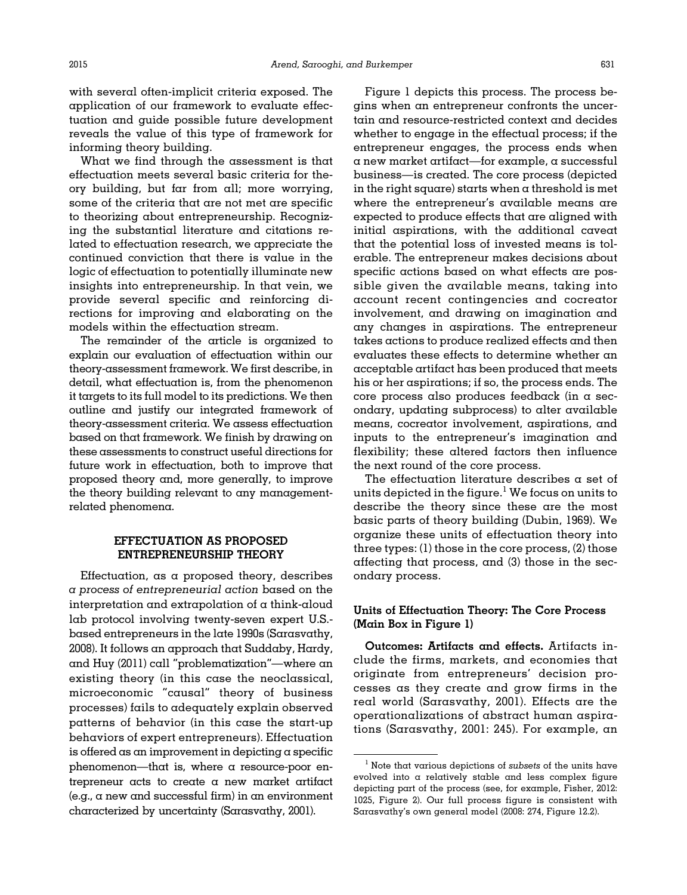with several often-implicit criteria exposed. The application of our framework to evaluate effectuation and guide possible future development reveals the value of this type of framework for informing theory building.

What we find through the assessment is that effectuation meets several basic criteria for theory building, but far from all; more worrying, some of the criteria that are not met are specific to theorizing about entrepreneurship. Recognizing the substantial literature and citations related to effectuation research, we appreciate the continued conviction that there is value in the logic of effectuation to potentially illuminate new insights into entrepreneurship. In that vein, we provide several specific and reinforcing directions for improving and elaborating on the models within the effectuation stream.

The remainder of the article is organized to explain our evaluation of effectuation within our theory-assessment framework. We first describe, in detail, what effectuation is, from the phenomenon it targets to its full model to its predictions. We then outline and justify our integrated framework of theory-assessment criteria. We assess effectuation based on that framework. We finish by drawing on these assessments to construct useful directions for future work in effectuation, both to improve that proposed theory and, more generally, to improve the theory building relevant to any managementrelated phenomena.

# EFFECTUATION AS PROPOSED ENTREPRENEURSHIP THEORY

Effectuation, as a proposed theory, describes a process of entrepreneurial action based on the interpretation and extrapolation of a think-aloud lab protocol involving twenty-seven expert U.S. based entrepreneurs in the late 1990s [\(Sarasvathy,](#page-20-0) [2008](#page-20-0)). It follows an approach that [Suddaby, Hardy,](#page-21-0) [and Huy \(2011\)](#page-21-0) call "problematization"—where an existing theory (in this case the neoclassical, microeconomic "causal" theory of business processes) fails to adequately explain observed patterns of behavior (in this case the start-up behaviors of expert entrepreneurs). Effectuation is offered as an improvement in depicting a specific phenomenon—that is, where a resource-poor entrepreneur acts to create a new market artifact (e.g., a new and successful firm) in an environment characterized by uncertainty ([Sarasvathy, 2001](#page-20-0)).

[Figure 1](#page-2-0) depicts this process. The process begins when an entrepreneur confronts the uncertain and resource-restricted context and decides whether to engage in the effectual process; if the entrepreneur engages, the process ends when a new market artifact—for example, a successful business—is created. The core process (depicted in the right square) starts when a threshold is met where the entrepreneur's available means are expected to produce effects that are aligned with initial aspirations, with the additional caveat that the potential loss of invested means is tolerable. The entrepreneur makes decisions about specific actions based on what effects are possible given the available means, taking into account recent contingencies and cocreator involvement, and drawing on imagination and any changes in aspirations. The entrepreneur takes actions to produce realized effects and then evaluates these effects to determine whether an acceptable artifact has been produced that meets his or her aspirations; if so, the process ends. The core process also produces feedback (in a secondary, updating subprocess) to alter available means, cocreator involvement, aspirations, and inputs to the entrepreneur's imagination and flexibility; these altered factors then influence the next round of the core process.

The effectuation literature describes a set of units depicted in the figure. $<sup>1</sup>$  We focus on units to</sup> describe the theory since these are the most basic parts of theory building ([Dubin, 1969\)](#page-19-0). We organize these units of effectuation theory into three types: (1) those in the core process, (2) those affecting that process, and (3) those in the secondary process.

# Units of Effectuation Theory: The Core Process (Main Box in Figure 1)

Outcomes: Artifacts and effects. Artifacts include the firms, markets, and economies that originate from entrepreneurs' decision processes as they create and grow firms in the real world ([Sarasvathy, 2001\)](#page-20-0). Effects are the operationalizations of abstract human aspirations ([Sarasvathy, 2001:](#page-20-0) 245). For example, an

 $<sup>1</sup>$  Note that various depictions of subsets of the units have</sup> evolved into a relatively stable and less complex figure depicting part of the process (see, for example, [Fisher, 2012](#page-19-0): 1025, Figure 2). Our full process figure is consistent with Sarasvathy's own general model (2008: 274, Figure 12.2).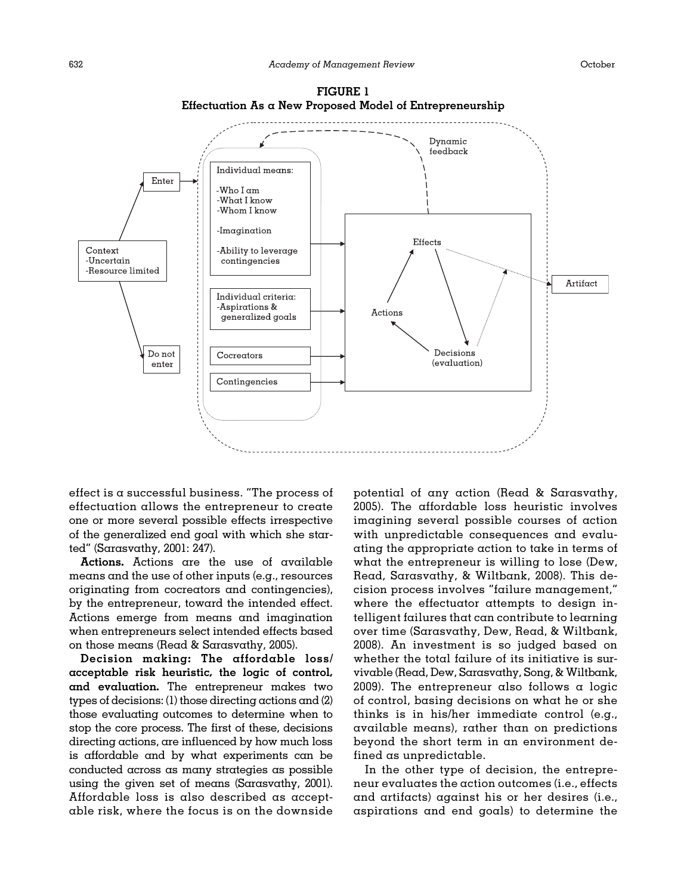<span id="page-2-0"></span>

FIGURE 1 Effectuation As a New Proposed Model of Entrepreneurship

effect is  $\alpha$  successful business. "The process of effectuation allows the entrepreneur to create one or more several possible effects irrespective of the generalized end goal with which she started" [\(Sarasvathy, 2001](#page-20-0): 247).

Actions. Actions are the use of available means and the use of other inputs (e.g., resources originating from cocreators and contingencies), by the entrepreneur, toward the intended effect. Actions emerge from means and imagination when entrepreneurs select intended effects based on those means [\(Read](#page-20-0) [& Sarasvathy, 2005\)](#page-20-0).

Decision making: The affordable loss/ acceptable risk heuristic, the logic of control, and evaluation. The entrepreneur makes two types of decisions: (1) those directing actions and (2) those evaluating outcomes to determine when to stop the core process. The first of these, decisions directing actions, are influenced by how much loss is affordable and by what experiments can be conducted across as many strategies as possible using the given set of means [\(Sarasvathy, 2001](#page-20-0)). Affordable loss is also described as acceptable risk, where the focus is on the downside

potential of any action ([Read](#page-20-0) & [Sarasvathy,](#page-20-0) [2005\)](#page-20-0). The affordable loss heuristic involves imagining several possible courses of action with unpredictable consequences and evaluating the appropriate action to take in terms of what the entrepreneur is willing to lose [\(Dew,](#page-19-0) [Read, Sarasvathy,](#page-19-0) [& Wiltbank, 2008\)](#page-19-0). This decision process involves "failure management," where the effectuator attempts to design intelligent failures that can contribute to learning over time ([Sarasvathy, Dew, Read,](#page-21-0) & [Wiltbank,](#page-21-0) [2008\)](#page-21-0). An investment is so judged based on whether the total failure of its initiative is survivable [\(Read, Dew, Sarasvathy, Song, & Wiltbank,](#page-20-0) [2009\)](#page-20-0). The entrepreneur also follows  $\alpha$  logic of control, basing decisions on what he or she thinks is in his/her immediate control (e.g., available means), rather than on predictions beyond the short term in an environment defined as unpredictable.

In the other type of decision, the entrepreneur evaluates the action outcomes (i.e., effects and artifacts) against his or her desires (i.e., aspirations and end goals) to determine the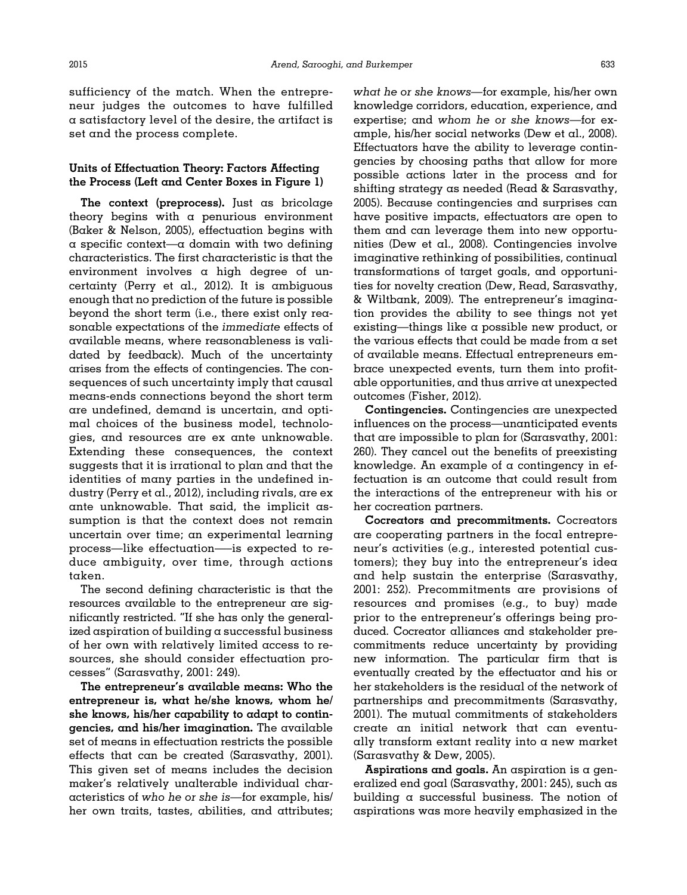sufficiency of the match. When the entrepreneur judges the outcomes to have fulfilled a satisfactory level of the desire, the artifact is set and the process complete.

## Units of Effectuation Theory: Factors Affecting the Process (Left and Center Boxes in Figure 1)

The context (preprocess). Just as bricolage theory begins with a penurious environment [\(Baker](#page-19-0) [& Nelson, 2005\)](#page-19-0), effectuation begins with  $\alpha$  specific context— $\alpha$  domain with two defining characteristics. The first characteristic is that the environment involves a high degree of uncertainty [\(Perry et al., 2012\)](#page-20-0). It is ambiguous enough that no prediction of the future is possible beyond the short term (i.e., there exist only reasonable expectations of the immediate effects of available means, where reasonableness is validated by feedback). Much of the uncertainty arises from the effects of contingencies. The consequences of such uncertainty imply that causal means-ends connections beyond the short term are undefined, demand is uncertain, and optimal choices of the business model, technologies, and resources are ex ante unknowable. Extending these consequences, the context suggests that it is irrational to plan and that the identities of many parties in the undefined industry ([Perry et al., 2012](#page-20-0)), including rivals, are ex ante unknowable. That said, the implicit assumption is that the context does not remain uncertain over time; an experimental learning process—like effectuation—–is expected to reduce ambiguity, over time, through actions taken.

The second defining characteristic is that the resources available to the entrepreneur are significantly restricted. "If she has only the generalized aspiration of building a successful business of her own with relatively limited access to resources, she should consider effectuation processes" ([Sarasvathy, 2001:](#page-20-0) 249).

The entrepreneur's available means: Who the entrepreneur is, what he/she knows, whom he/ she knows, his/her capability to adapt to contingencies, and his/her imagination. The available set of means in effectuation restricts the possible effects that can be created ([Sarasvathy, 2001\)](#page-20-0). This given set of means includes the decision maker's relatively unalterable individual characteristics of who he or she is—for example, his/ her own traits, tastes, abilities, and attributes;

what he or she knows—for example, his/her own knowledge corridors, education, experience, and expertise; and whom he or she knows—for example, his/her social networks [\(Dew et al., 2008\)](#page-19-0). Effectuators have the ability to leverage contingencies by choosing paths that allow for more possible actions later in the process and for shifting strategy as needed ([Read](#page-20-0) [& Sarasvathy,](#page-20-0) [2005\)](#page-20-0). Because contingencies and surprises can have positive impacts, effectuators are open to them and can leverage them into new opportunities [\(Dew et al., 2008](#page-19-0)). Contingencies involve imaginative rethinking of possibilities, continual transformations of target goals, and opportunities for novelty creation ([Dew, Read, Sarasvathy,](#page-19-0) [& Wiltbank, 2009\)](#page-19-0). The entrepreneur's imagination provides the ability to see things not yet existing—things like a possible new product, or the various effects that could be made from a set of available means. Effectual entrepreneurs embrace unexpected events, turn them into profitable opportunities, and thus arrive at unexpected outcomes [\(Fisher, 2012](#page-19-0)).

Contingencies. Contingencies are unexpected influences on the process—unanticipated events that are impossible to plan for [\(Sarasvathy, 2001:](#page-20-0) 260). They cancel out the benefits of preexisting knowledge. An example of  $\alpha$  contingency in effectuation is an outcome that could result from the interactions of the entrepreneur with his or her cocreation partners.

Cocreators and precommitments. Cocreators are cooperating partners in the focal entrepreneur's activities (e.g., interested potential customers); they buy into the entrepreneur's idea and help sustain the enterprise ([Sarasvathy,](#page-20-0) [2001](#page-20-0): 252). Precommitments are provisions of resources and promises (e.g., to buy) made prior to the entrepreneur's offerings being produced. Cocreator alliances and stakeholder precommitments reduce uncertainty by providing new information. The particular firm that is eventually created by the effectuator and his or her stakeholders is the residual of the network of partnerships and precommitments [\(Sarasvathy,](#page-20-0) [2001\)](#page-20-0). The mutual commitments of stakeholders create an initial network that can eventually transform extant reality into a new market ([Sarasvathy](#page-21-0) [& Dew, 2005](#page-21-0)).

Aspirations and goals. An aspiration is a generalized end goal [\(Sarasvathy, 2001:](#page-20-0) 245), such as building a successful business. The notion of aspirations was more heavily emphasized in the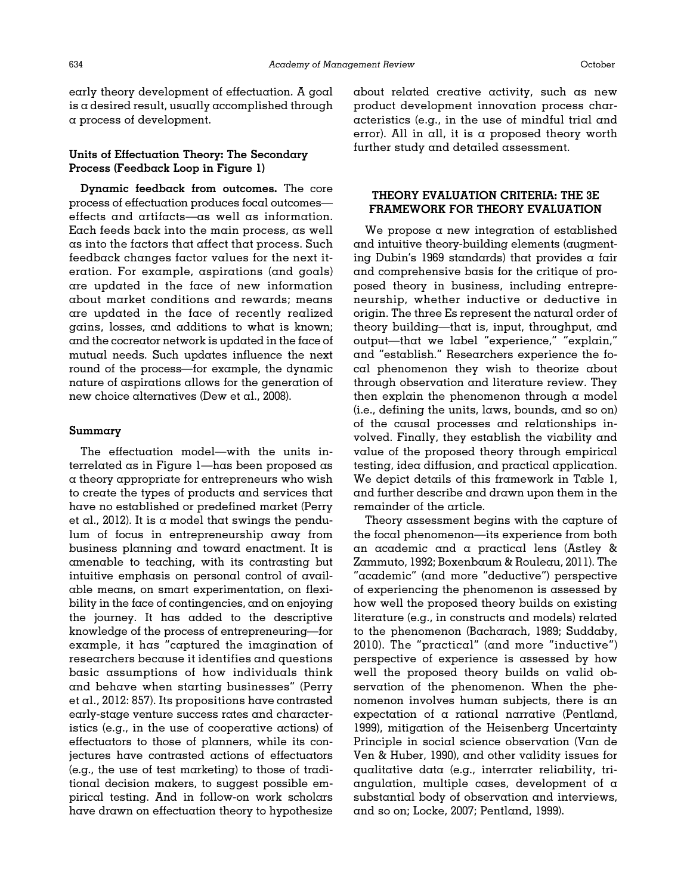early theory development of effectuation. A goal is a desired result, usually accomplished through a process of development.

# Units of Effectuation Theory: The Secondary Process (Feedback Loop in Figure 1)

Dynamic feedback from outcomes. The core process of effectuation produces focal outcomes effects and artifacts—as well as information. Each feeds back into the main process, as well as into the factors that affect that process. Such feedback changes factor values for the next iteration. For example, aspirations (and goals) are updated in the face of new information about market conditions and rewards; means are updated in the face of recently realized gains, losses, and additions to what is known; and the cocreator network is updated in the face of mutual needs. Such updates influence the next round of the process—for example, the dynamic nature of aspirations allows for the generation of new choice alternatives ([Dew et al., 2008](#page-19-0)).

# Summary

The effectuation model—with the units interrelated as in [Figure 1](#page-2-0)—has been proposed as a theory appropriate for entrepreneurs who wish to create the types of products and services that have no established or predefined market [\(Perry](#page-20-0) [et al., 2012\)](#page-20-0). It is a model that swings the pendulum of focus in entrepreneurship away from business planning and toward enactment. It is amenable to teaching, with its contrasting but intuitive emphasis on personal control of available means, on smart experimentation, on flexibility in the face of contingencies, and on enjoying the journey. It has added to the descriptive knowledge of the process of entrepreneuring—for example, it has "captured the imagination of researchers because it identifies and questions basic assumptions of how individuals think and behave when starting businesses" [\(Perry](#page-20-0) [et al., 2012](#page-20-0): 857). Its propositions have contrasted early-stage venture success rates and characteristics (e.g., in the use of cooperative actions) of effectuators to those of planners, while its conjectures have contrasted actions of effectuators (e.g., the use of test marketing) to those of traditional decision makers, to suggest possible empirical testing. And in follow-on work scholars have drawn on effectuation theory to hypothesize

about related creative activity, such as new product development innovation process characteristics (e.g., in the use of mindful trial and error). All in all, it is a proposed theory worth further study and detailed assessment.

# THEORY EVALUATION CRITERIA: THE 3E FRAMEWORK FOR THEORY EVALUATION

We propose a new integration of established and intuitive theory-building elements (augmenting Dubin'[s 1969](#page-19-0) standards) that provides a fair and comprehensive basis for the critique of proposed theory in business, including entrepreneurship, whether inductive or deductive in origin. The three Es represent the natural order of theory building—that is, input, throughput, and output—that we label "experience," "explain," and "establish." Researchers experience the focal phenomenon they wish to theorize about through observation and literature review. They then explain the phenomenon through  $\alpha$  model (i.e., defining the units, laws, bounds, and so on) of the causal processes and relationships involved. Finally, they establish the viability and value of the proposed theory through empirical testing, idea diffusion, and practical application. We depict details of this framework in [Table 1,](#page-5-0) and further describe and drawn upon them in the remainder of the article.

Theory assessment begins with the capture of the focal phenomenon—its experience from both an academic and a practical lens ([Astley](#page-18-0) & [Zammuto, 1992](#page-18-0); [Boxenbaum & Rouleau, 2011](#page-19-0)). The "academic" (and more "deductive") perspective of experiencing the phenomenon is assessed by how well the proposed theory builds on existing literature (e.g., in constructs and models) related to the phenomenon [\(Bacharach, 1989](#page-19-0); [Suddaby,](#page-21-0) [2010](#page-21-0)). The "practical" (and more "inductive") perspective of experience is assessed by how well the proposed theory builds on valid observation of the phenomenon. When the phenomenon involves human subjects, there is an expectation of a rational narrative ([Pentland,](#page-20-0) [1999\)](#page-20-0), mitigation of the Heisenberg Uncertainty Principle in social science observation ([Van de](#page-21-0) [Ven](#page-21-0) & [Huber, 1990](#page-21-0)), and other validity issues for qualitative data (e.g., interrater reliability, triangulation, multiple cases, development of a substantial body of observation and interviews, and so on; [Locke, 2007](#page-20-0); [Pentland, 1999](#page-20-0)).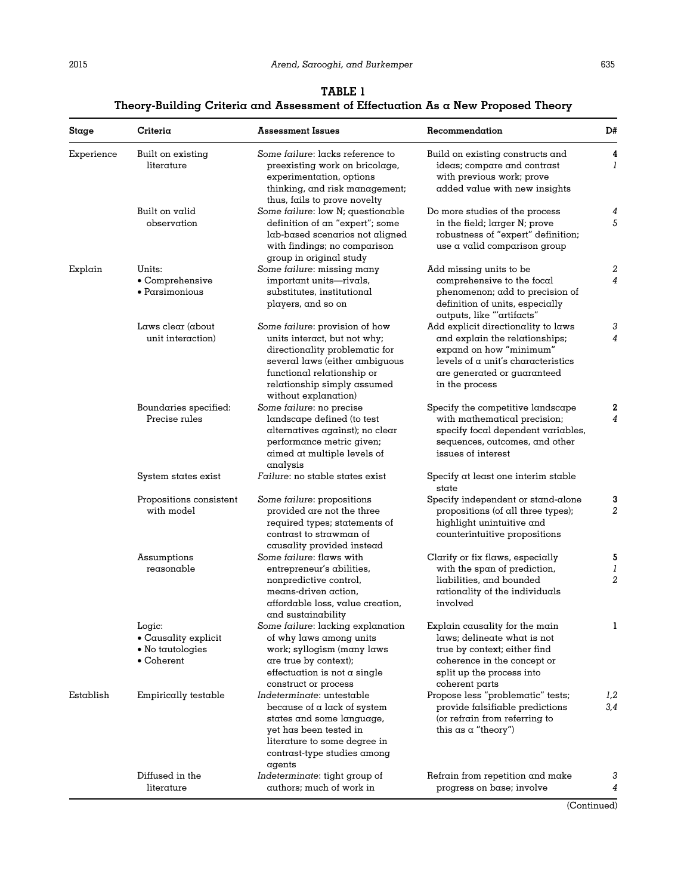# TABLE 1 Theory-Building Criteria and Assessment of Effectuation As a New Proposed Theory

<span id="page-5-0"></span>

| Stage      | Criteria                                                                 | <b>Assessment Issues</b>                                                                                                                                                                                                | Recommendation                                                                                                                                                                          | D#                       |
|------------|--------------------------------------------------------------------------|-------------------------------------------------------------------------------------------------------------------------------------------------------------------------------------------------------------------------|-----------------------------------------------------------------------------------------------------------------------------------------------------------------------------------------|--------------------------|
| Experience | Built on existing<br>literature                                          | Some failure: lacks reference to<br>preexisting work on bricolage,<br>experimentation, options<br>thinking, and risk management;<br>thus, fails to prove novelty                                                        | Build on existing constructs and<br>ideas; compare and contrast<br>with previous work; prove<br>added value with new insights                                                           | 4<br>1                   |
|            | Built on valid<br>observation                                            | Some failure: low N; questionable<br>definition of an "expert"; some<br>lab-based scenarios not aligned<br>with findings; no comparison<br>group in original study                                                      | Do more studies of the process<br>in the field; larger N; prove<br>robustness of "expert" definition;<br>use a valid comparison group                                                   | 4<br>5                   |
| Explain    | Units:<br>• Comprehensive<br>• Parsimonious                              | Some failure: missing many<br>important units-rivals,<br>substitutes, institutional<br>players, and so on                                                                                                               | Add missing units to be<br>comprehensive to the focal<br>phenomenon; add to precision of<br>definition of units, especially<br>outputs, like "'artifacts"                               | 2<br>4                   |
|            | Laws clear $(about)$<br>unit interaction)                                | Some failure: provision of how<br>units interact, but not why;<br>directionality problematic for<br>several laws (either ambiguous<br>functional relationship or<br>relationship simply assumed<br>without explanation) | Add explicit directionality to laws<br>and explain the relationships;<br>expand on how "minimum"<br>levels of a unit's characteristics<br>are generated or guaranteed<br>in the process | 3<br>4                   |
|            | Boundaries specified:<br>Precise rules                                   | Some failure: no precise<br>landscape defined (to test<br>alternatives against); no clear<br>performance metric given;<br>aimed at multiple levels of<br>analysis                                                       | Specify the competitive landscape<br>with mathematical precision;<br>specify focal dependent variables,<br>sequences, outcomes, and other<br>issues of interest                         | 2<br>4                   |
|            | System states exist                                                      | Failure: no stable states exist                                                                                                                                                                                         | Specify at least one interim stable<br>state                                                                                                                                            |                          |
|            | Propositions consistent<br>with model                                    | Some failure: propositions<br>provided are not the three<br>required types; stαtements of<br>contrast to strawman of<br>causality provided instead                                                                      | Specify independent or stand-alone<br>propositions (of all three types);<br>highlight unintuitive and<br>counterintuitive propositions                                                  | 3<br>2                   |
|            | Assumptions<br>reasonable                                                | Some failure: flaws with<br>entrepreneur's abilities,<br>nonpredictive control,<br>means-driven action,<br>affordable loss, value creation,<br>and sustainability                                                       | Clarify or fix flaws, especially<br>with the span of prediction,<br>liabilities, and bounded<br>rationality of the individuals<br>involved                                              | 5<br>1<br>$\overline{2}$ |
|            | Logic:<br>$\bullet$ Causality explicit<br>• No tautologies<br>• Coherent | Some failure: lacking explanation<br>of why laws among units<br>work; syllogism (many laws<br>are true by context);<br>effectuation is not a single<br>construct or process                                             | Explain causality for the main<br>laws; delineate what is not<br>true by context; either find<br>coherence in the concept or<br>split up the process into<br>coherent parts             | 1                        |
| Establish  | Empirically testable                                                     | Indeterminate: untestable<br>because of a lack of system<br>states and some language,<br>yet has been tested in<br>literature to some degree in<br>contrast-type studies among<br>agents                                | Propose less "problematic" tests;<br>provide falsifiable predictions<br>(or refrain from referring to<br>this $\alpha s \alpha$ "theory")                                               | 1,2<br>3,4               |
|            | Diffused in the<br>literature                                            | Indeterminate: tight group of<br>authors; much of work in                                                                                                                                                               | Refrain from repetition and make<br>progress on base; involve                                                                                                                           | 3<br>4                   |

(Continued)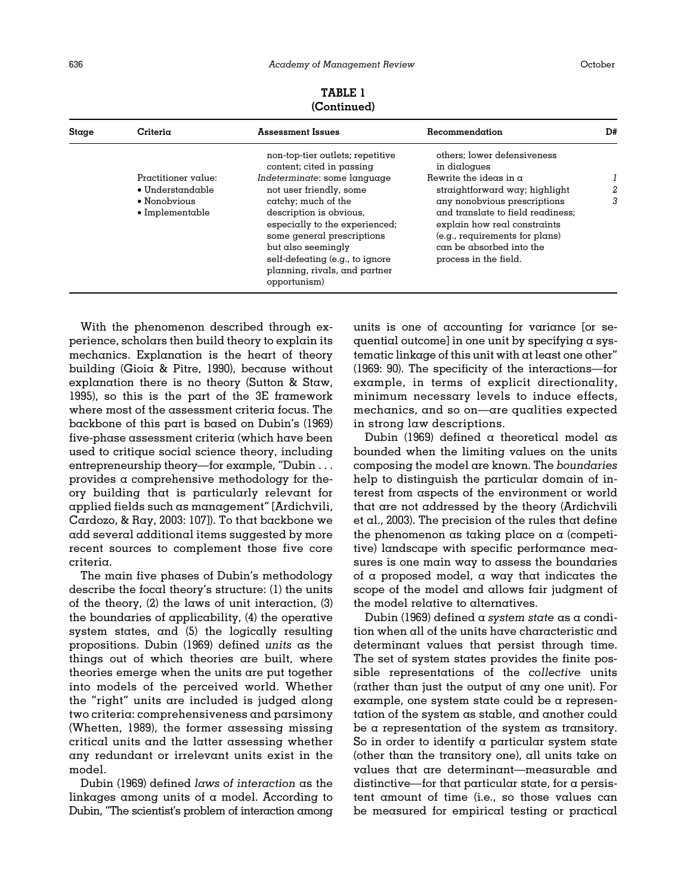| Stage | Criteria                                                                                   | <b>Assessment Issues</b>                                                                                                                                                                                                                                                                                                                             | Recommendation                                                                                                                                                                                                                                                                                             | D# |
|-------|--------------------------------------------------------------------------------------------|------------------------------------------------------------------------------------------------------------------------------------------------------------------------------------------------------------------------------------------------------------------------------------------------------------------------------------------------------|------------------------------------------------------------------------------------------------------------------------------------------------------------------------------------------------------------------------------------------------------------------------------------------------------------|----|
|       | Practitioner value:<br>$\bullet$ Understandable<br>• Nonobvious<br>$\bullet$ Implementable | non-top-tier outlets; repetitive<br>content; cited in passing<br>Indeterminate: some language<br>not user friendly, some<br>catchy; much of the<br>description is obvious,<br>especially to the experienced;<br>some general prescriptions<br>but also seemingly<br>self-defeating (e.g., to ignore<br>planning, rivals, and partner<br>opportunism) | others: lower defensiveness<br>in dialogues<br>Rewrite the ideas in $\alpha$<br>straightforward way; highlight<br>any nonobvious prescriptions<br>and translate to field readiness:<br>explain how real constraints<br>(e.g., requirements for plans)<br>can be absorbed into the<br>process in the field. | 3  |

TABLE 1 (Continued)

With the phenomenon described through experience, scholars then build theory to explain its mechanics. Explanation is the heart of theory building [\(Gioia & Pitre, 1990\)](#page-19-0), because without explanation there is no theory ([Sutton](#page-21-0) [& Staw,](#page-21-0) [1995\)](#page-21-0), so this is the part of the 3E framework where most of the assessment criteria focus. The backbone of this part is based on Dubin'[s \(1969\)](#page-19-0) five-phase assessment criteria (which have been used to critique social science theory, including entrepreneurship theory—for example, "Dubin . . . provides a comprehensive methodology for theory building that is particularly relevant for applied fields such as management" [[Ardichvili,](#page-18-0) [Cardozo,](#page-18-0) & [Ray, 2003](#page-18-0): 107]). To that backbone we add several additional items suggested by more recent sources to complement those five core criteria.

The main five phases of Dubin's methodology describe the focal theory's structure: (1) the units of the theory, (2) the laws of unit interaction, (3) the boundaries of applicability, (4) the operative system states, and (5) the logically resulting propositions. [Dubin \(1969\)](#page-19-0) defined units as the things out of which theories are built, where theories emerge when the units are put together into models of the perceived world. Whether the "right" units are included is judged along two criteria: comprehensiveness and parsimony ([Whetten, 1989\)](#page-21-0), the former assessing missing critical units and the latter assessing whether any redundant or irrelevant units exist in the model.

[Dubin \(1969\)](#page-19-0) defined laws of interaction as the linkages among units of a model. According to Dubin, "The scientist's problem of interaction among units is one of accounting for variance [or sequential outcome] in one unit by specifying a systematic linkage of this unit with at least one other" (1969: 90). The specificity of the interactions—for example, in terms of explicit directionality, minimum necessary levels to induce effects, mechanics, and so on—are qualities expected in strong law descriptions.

[Dubin \(1969\)](#page-19-0) defined a theoretical model as bounded when the limiting values on the units composing the model are known. The boundaries help to distinguish the particular domain of interest from aspects of the environment or world that are not addressed by the theory ([Ardichvili](#page-18-0) [et al., 2003](#page-18-0)). The precision of the rules that define the phenomenon as taking place on a (competitive) landscape with specific performance measures is one main way to assess the boundaries of  $\alpha$  proposed model,  $\alpha$  way that indicates the scope of the model and allows fair judgment of the model relative to alternatives.

[Dubin \(1969\)](#page-19-0) defined  $\alpha$  system state  $\alpha$ s  $\alpha$  condition when all of the units have characteristic and determinant values that persist through time. The set of system states provides the finite possible representations of the collective units (rather than just the output of any one unit). For example, one system state could be a representation of the system as stable, and another could be a representation of the system as transitory. So in order to identify a particular system state (other than the transitory one), all units take on values that are determinant—measurable and distinctive—for that particular state, for a persistent amount of time (i.e., so those values can be measured for empirical testing or practical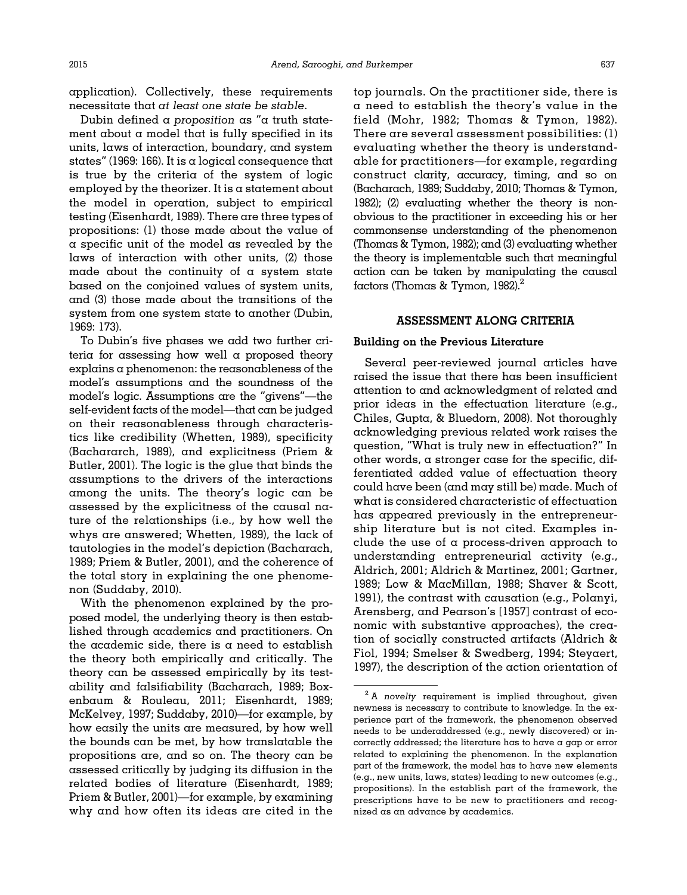application). Collectively, these requirements necessitate that at least one state be stable.

Dubin defined a proposition as " $\alpha$  truth statement about a model that is fully specified in its units, laws of interaction, boundary, and system states" (1969: 166). It is a logical consequence that is true by the criteria of the system of logic employed by the theorizer. It is a statement about the model in operation, subject to empirical testing ([Eisenhardt, 1989](#page-19-0)). There are three types of propositions: (1) those made about the value of a specific unit of the model as revealed by the laws of interaction with other units, (2) those made about the continuity of  $\alpha$  system state based on the conjoined values of system units, and (3) those made about the transitions of the system from one system state to another [\(Dubin,](#page-19-0) [1969:](#page-19-0) 173).

To Dubin's five phases we add two further criteria for assessing how well a proposed theory explains a phenomenon: the reasonableness of the model's assumptions and the soundness of the model's logic. Assumptions are the "givens"—the self-evident facts of the model—that can be judged on their reasonableness through characteristics like credibility ([Whetten, 1989\)](#page-21-0), specificity (Bachararch, 1989), and explicitness [\(Priem &](#page-20-0) [Butler, 2001\)](#page-20-0). The logic is the glue that binds the assumptions to the drivers of the interactions among the units. The theory's logic can be assessed by the explicitness of the causal nature of the relationships (i.e., by how well the whys are answered; [Whetten, 1989\)](#page-21-0), the lack of tautologies in the model's depiction ([Bacharach,](#page-19-0) [1989](#page-19-0); [Priem](#page-20-0) [& Butler, 2001](#page-20-0)), and the coherence of the total story in explaining the one phenomenon [\(Suddaby, 2010\)](#page-21-0).

With the phenomenon explained by the proposed model, the underlying theory is then established through academics and practitioners. On the  $academic side$ , there is  $\alpha$  need to establish the theory both empirically and critically. The theory can be assessed empirically by its testability and falsifiability [\(Bacharach, 1989](#page-19-0); [Box](#page-19-0)[enbaum & Rouleau, 2011; Eisenhardt, 1989;](#page-19-0) [McKelvey, 1997;](#page-20-0) [Suddaby, 2010\)](#page-21-0)—for example, by how easily the units are measured, by how well the bounds can be met, by how translatable the propositions are, and so on. The theory can be assessed critically by judging its diffusion in the related bodies of literature ([Eisenhardt, 1989;](#page-19-0) [Priem](#page-20-0) & [Butler, 2001](#page-20-0))—for example, by examining why and how often its ideas are cited in the

top journals. On the practitioner side, there is a need to establish the theory's value in the field ([Mohr, 1982;](#page-20-0) [Thomas](#page-21-0) & [Tymon, 1982\)](#page-21-0). There are several assessment possibilities:  $(l)$ evaluating whether the theory is understandable for practitioners—for example, regarding construct clarity, accuracy, timing, and so on [\(Bacharach, 1989;](#page-19-0) [Suddaby, 2010](#page-21-0); [Thomas & Tymon,](#page-21-0) [1982\)](#page-21-0); (2) evaluating whether the theory is nonobvious to the practitioner in exceeding his or her commonsense understanding of the phenomenon [\(Thomas & Tymon, 1982](#page-21-0)); and (3) evaluating whether the theory is implementable such that meaningful action can be taken by manipulating the causal factors [\(Thomas & Tymon, 1982](#page-21-0)).2

#### ASSESSMENT ALONG CRITERIA

#### Building on the Previous Literature

Several peer-reviewed journal articles have raised the issue that there has been insufficient attention to and acknowledgment of related and prior ideas in the effectuation literature (e.g., [Chiles, Gupta, & Bluedorn, 2008\)](#page-19-0). Not thoroughly acknowledging previous related work raises the question, "What is truly new in effectuation?" In other words, a stronger case for the specific, differentiated added value of effectuation theory could have been (and may still be) made. Much of what is considered characteristic of effectuation has appeared previously in the entrepreneurship literature but is not cited. Examples include the use of a process-driven approach to understanding entrepreneurial activity (e.g., [Aldrich, 2001](#page-18-0); [Aldrich & Martinez, 2001;](#page-18-0) [Gartner,](#page-19-0) [1989](#page-19-0); [Low](#page-20-0) & [MacMillan, 1988](#page-20-0); [Shaver](#page-21-0) [& Scott,](#page-21-0) [1991](#page-21-0)), the contrast with causation (e.g., [Polanyi,](#page-20-0) [Arensberg, and Pearson](#page-20-0)'s [1957] contrast of economic with substantive approaches), the creation of socially constructed artifacts ([Aldrich](#page-18-0) & [Fiol, 1994](#page-18-0); [Smelser & Swedberg, 1994; Steyaert,](#page-21-0) [1997](#page-21-0)), the description of the action orientation of

 $2$  A novelty requirement is implied throughout, given newness is necessary to contribute to knowledge. In the experience part of the framework, the phenomenon observed needs to be underaddressed (e.g., newly discovered) or incorrectly addressed; the literature has to have a gap or error related to explaining the phenomenon. In the explanation part of the framework, the model has to have new elements (e.g., new units, laws, states) leading to new outcomes (e.g., propositions). In the establish part of the framework, the prescriptions have to be new to practitioners and recognized as an advance by academics.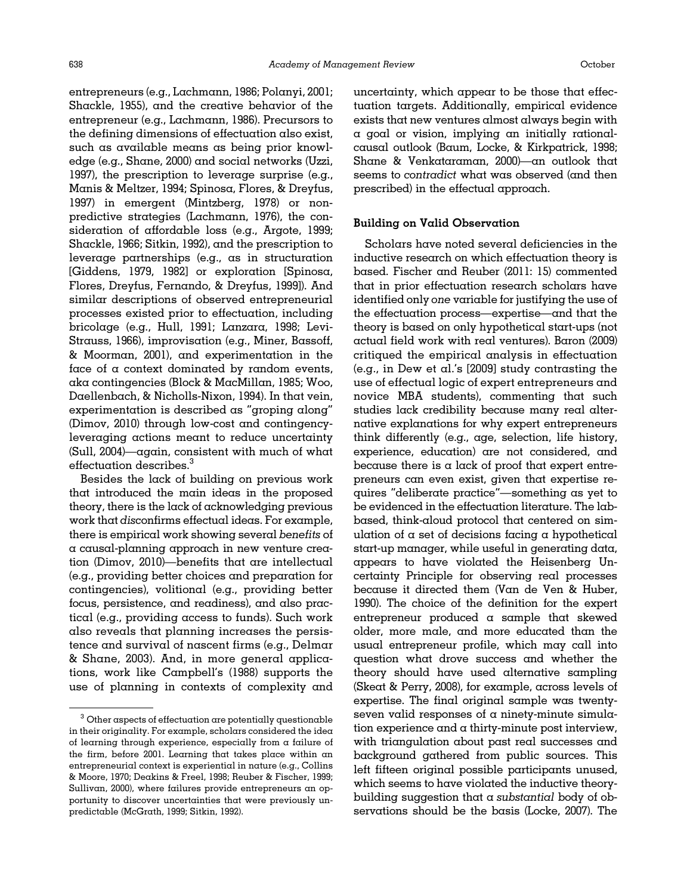entrepreneurs (e.g., [Lachmann, 1986](#page-20-0); [Polanyi, 2001;](#page-20-0) [Shackle, 1955\)](#page-21-0), and the creative behavior of the entrepreneur (e.g., [Lachmann, 1986\)](#page-20-0). Precursors to the defining dimensions of effectuation also exist, such as available means as being prior knowledge (e.g., [Shane, 2000](#page-21-0)) and social networks ([Uzzi,](#page-21-0) [1997](#page-21-0)), the prescription to leverage surprise (e.g., [Manis](#page-20-0) [& Meltzer, 1994](#page-20-0); [Spinosa, Flores,](#page-21-0) [& Dreyfus,](#page-21-0) [1997](#page-21-0)) in emergent [\(Mintzberg, 1978](#page-20-0)) or nonpredictive strategies ([Lachmann, 1976](#page-20-0)), the consideration of affordable loss (e.g., [Argote, 1999;](#page-18-0) [Shackle, 1966; Sitkin, 1992\)](#page-21-0), and the prescription to leverage partnerships (e.g., as in structuration [\[Giddens, 1979, 1982\]](#page-19-0) or exploration [\[Spinosa,](#page-21-0) [Flores, Dreyfus, Fernando, & Dreyfus, 1999\]](#page-21-0)). And similar descriptions of observed entrepreneurial processes existed prior to effectuation, including bricolage (e.g., [Hull, 1991; Lanzara, 1998](#page-20-0); [Levi-](#page-20-0)[Strauss, 1966\)](#page-20-0), improvisation (e.g., [Miner, Bassoff,](#page-20-0) & [Moorman, 2001\)](#page-20-0), and experimentation in the face of a context dominated by random events, aka contingencies ([Block](#page-19-0) [& MacMillan, 1985;](#page-19-0) [Woo,](#page-21-0) [Daellenbach, & Nicholls-Nixon, 1994\)](#page-21-0). In that vein, experimentation is described as "groping along" [\(Dimov, 2010](#page-19-0)) through low-cost and contingencyleveraging actions meant to reduce uncertainty [\(Sull, 2004\)](#page-21-0)—again, consistent with much of what effectuation describes.<sup>3</sup>

Besides the lack of building on previous work that introduced the main ideas in the proposed theory, there is the lack of acknowledging previous work that disconfirms effectual ideas. For example, there is empirical work showing several benefits of a causal-planning approach in new venture creation [\(Dimov, 2010\)](#page-19-0)—benefits that are intellectual (e.g., providing better choices and preparation for contingencies), volitional (e.g., providing better focus, persistence, and readiness), and also practical (e.g., providing access to funds). Such work also reveals that planning increases the persistence and survival of nascent firms (e.g., [Delmar](#page-19-0) & [Shane, 2003](#page-19-0)). And, in more general applications, work like [Campbell](#page-19-0)'s (1988) supports the use of planning in contexts of complexity and

uncertainty, which appear to be those that effectuation targets. Additionally, empirical evidence exists that new ventures almost always begin with a goal or vision, implying an initially rationalcausal outlook [\(Baum, Locke, & Kirkpatrick, 1998;](#page-19-0) [Shane](#page-21-0) [& Venkataraman, 2000\)](#page-21-0)—an outlook that seems to contradict what was observed (and then prescribed) in the effectual approach.

#### Building on Valid Observation

Scholars have noted several deficiencies in the inductive research on which effectuation theory is based. [Fischer and Reuber \(2011](#page-19-0): 15) commented that in prior effectuation research scholars have identified only one variable for justifying the use of the effectuation process—expertise—and that the theory is based on only hypothetical start-ups (not actual field work with real ventures). [Baron \(2009\)](#page-19-0) critiqued the empirical analysis in effectuation (e.g., in [Dew et al.](#page-19-0)'s [2009] study contrasting the use of effectual logic of expert entrepreneurs and novice MBA students), commenting that such studies lack credibility because many real alternative explanations for why expert entrepreneurs think differently (e.g., age, selection, life history, experience, education) are not considered, and because there is a lack of proof that expert entrepreneurs can even exist, given that expertise requires "deliberate practice"—something as yet to be evidenced in the effectuation literature. The labbased, think-aloud protocol that centered on simulation of  $\alpha$  set of decisions facing  $\alpha$  hypothetical start-up manager, while useful in generating data, appears to have violated the Heisenberg Uncertainty Principle for observing real processes because it directed them [\(Van de Ven](#page-21-0) [& Huber,](#page-21-0) [1990](#page-21-0)). The choice of the definition for the expert entrepreneur produced a sample that skewed older, more male, and more educated than the usual entrepreneur profile, which may call into question what drove success and whether the theory should have used alternative sampling [\(Skeat & Perry, 2008\)](#page-21-0), for example, across levels of expertise. The final original sample was twentyseven valid responses of a ninety-minute simulation experience and a thirty-minute post interview, with triangulation about past real successes and background gathered from public sources. This left fifteen original possible participants unused, which seems to have violated the inductive theorybuilding suggestion that a substantial body of observations should be the basis [\(Locke, 2007\)](#page-20-0). The

 $3$  Other aspects of effectuation are potentially questionable in their originality. For example, scholars considered the idea of learning through experience, especially from a failure of the firm, before 2001. Learning that takes place within an entrepreneurial context is experiential in nature (e.g., [Collins](#page-19-0) [& Moore, 1970](#page-19-0); [Deakins & Freel, 1998](#page-19-0); [Reuber](#page-20-0) & [Fischer, 1999](#page-20-0); [Sullivan, 2000\)](#page-21-0), where failures provide entrepreneurs an opportunity to discover uncertainties that were previously unpredictable [\(McGrath, 1999](#page-20-0); [Sitkin, 1992](#page-21-0)).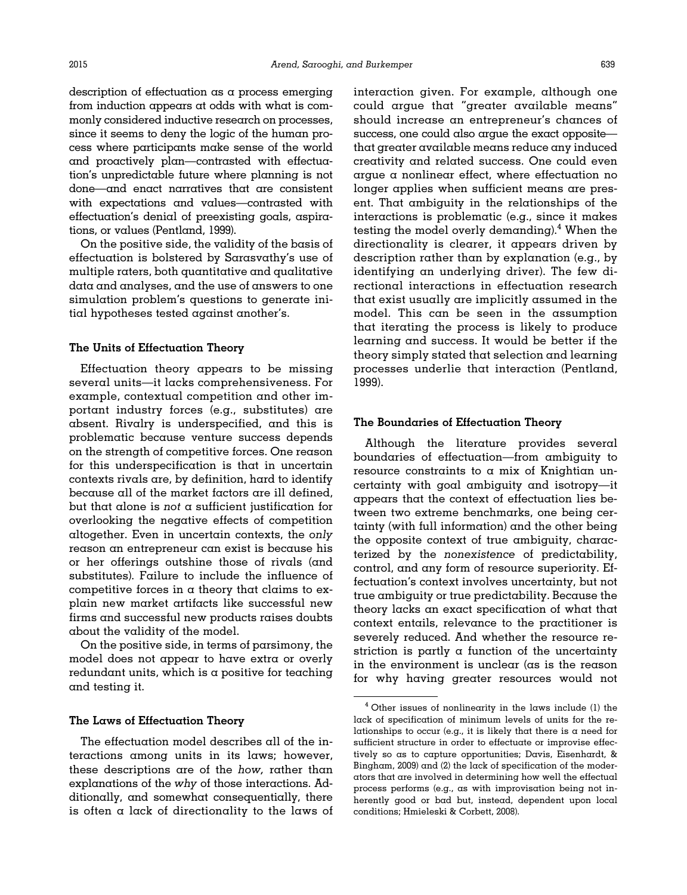description of effectuation as a process emerging from induction appears at odds with what is commonly considered inductive research on processes, since it seems to deny the logic of the human process where participants make sense of the world and proactively plan—contrasted with effectuation's unpredictable future where planning is not done—and enact narratives that are consistent with expectations and values—contrasted with effectuation's denial of preexisting goals, aspirations, or values ([Pentland, 1999\)](#page-20-0).

On the positive side, the validity of the basis of effectuation is bolstered by Sarasvathy's use of multiple raters, both quantitative and qualitative data and analyses, and the use of answers to one simulation problem's questions to generate initial hypotheses tested against another's.

#### The Units of Effectuation Theory

Effectuation theory appears to be missing several units—it lacks comprehensiveness. For example, contextual competition and other important industry forces (e.g., substitutes) are absent. Rivalry is underspecified, and this is problematic because venture success depends on the strength of competitive forces. One reason for this underspecification is that in uncertain contexts rivals are, by definition, hard to identify because all of the market factors are ill defined, but that alone is not a sufficient justification for overlooking the negative effects of competition altogether. Even in uncertain contexts, the only reason an entrepreneur can exist is because his or her offerings outshine those of rivals (and substitutes). Failure to include the influence of competitive forces in  $\alpha$  theory that claims to explain new market artifacts like successful new firms and successful new products raises doubts about the validity of the model.

On the positive side, in terms of parsimony, the model does not appear to have extra or overly  $redundant$  units, which is a positive for teaching and testing it.

#### The Laws of Effectuation Theory

The effectuation model describes all of the interactions among units in its laws; however, these descriptions are of the how, rather than explanations of the why of those interactions. Additionally, and somewhat consequentially, there is often a lack of directionality to the laws of interaction given. For example, although one could argue that "greater available means" should increase an entrepreneur's chances of success, one could also argue the exact opposite that greater available means reduce any induced creativity and related success. One could even argue a nonlinear effect, where effectuation no longer applies when sufficient means are present. That ambiguity in the relationships of the interactions is problematic (e.g., since it makes testing the model overly demanding).<sup>4</sup> When the directionality is clearer, it appears driven by description rather than by explanation (e.g., by identifying an underlying driver). The few directional interactions in effectuation research that exist usually are implicitly assumed in the model. This can be seen in the assumption that iterating the process is likely to produce learning and success. It would be better if the theory simply stated that selection and learning processes underlie that interaction [\(Pentland,](#page-20-0) [1999](#page-20-0)).

#### The Boundaries of Effectuation Theory

Although the literature provides several boundaries of effectuation—from ambiguity to resource constraints to  $\alpha$  mix of Knightian uncertainty with goal ambiguity and isotropy—it appears that the context of effectuation lies between two extreme benchmarks, one being certainty (with full information) and the other being the opposite context of true ambiguity, characterized by the nonexistence of predictability, control, and any form of resource superiority. Effectuation's context involves uncertainty, but not true ambiguity or true predictability. Because the theory lacks an exact specification of what that context entails, relevance to the practitioner is severely reduced. And whether the resource restriction is partly  $\alpha$  function of the uncertainty in the environment is unclear ( $\alpha s$  is the reason for why having greater resources would not

<sup>4</sup> Other issues of nonlinearity in the laws include (1) the lack of specification of minimum levels of units for the relationships to occur (e.g., it is likely that there is a need for sufficient structure in order to effectuate or improvise effectively so as to capture opportunities; [Davis, Eisenhardt,](#page-19-0) & [Bingham, 2009\)](#page-19-0) and (2) the lack of specification of the moderators that are involved in determining how well the effectual process performs (e.g., as with improvisation being not inherently good or bad but, instead, dependent upon local conditions; [Hmieleski](#page-20-0) & [Corbett, 2008](#page-20-0)).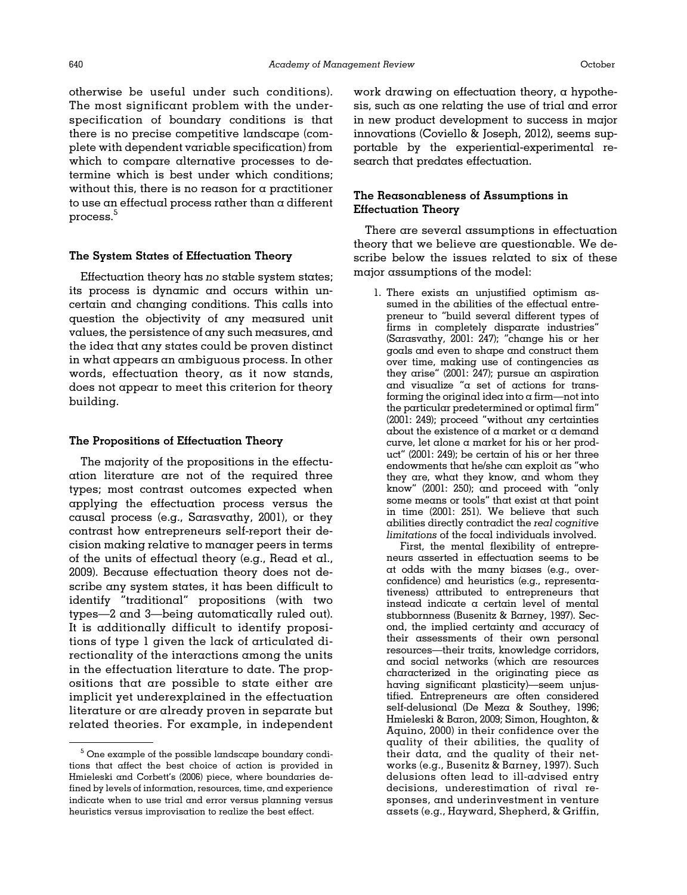otherwise be useful under such conditions). The most significant problem with the underspecification of boundary conditions is that there is no precise competitive landscape (complete with dependent variable specification) from which to compare alternative processes to determine which is best under which conditions; without this, there is no reason for a practitioner to use an effectual process rather than a different process.<sup>5</sup>

#### The System States of Effectuation Theory

Effectuation theory has no stable system states; its process is dynamic and occurs within uncertain and changing conditions. This calls into question the objectivity of any measured unit values, the persistence of any such measures, and the idea that any states could be proven distinct in what appears an ambiguous process. In other words, effectuation theory, as it now stands, does not appear to meet this criterion for theory building.

#### The Propositions of Effectuation Theory

The majority of the propositions in the effectuation literature are not of the required three types; most contrast outcomes expected when applying the effectuation process versus the causal process (e.g., [Sarasvathy, 2001\)](#page-20-0), or they contrast how entrepreneurs self-report their decision making relative to manager peers in terms of the units of effectual theory (e.g., [Read et al.,](#page-20-0) [2009\)](#page-20-0). Because effectuation theory does not describe any system states, it has been difficult to identify "traditional" propositions (with two types—2 and 3—being automatically ruled out). It is additionally difficult to identify propositions of type 1 given the lack of articulated directionality of the interactions among the units in the effectuation literature to date. The propositions that are possible to state either are implicit yet underexplained in the effectuation literature or are already proven in separate but related theories. For example, in independent work drawing on effectuation theory, a hypothesis, such as one relating the use of trial and error in new product development to success in major innovations ([Coviello & Joseph, 2012](#page-19-0)), seems supportable by the experiential-experimental research that predates effectuation.

# The Reasonableness of Assumptions in Effectuation Theory

There are several assumptions in effectuation theory that we believe are questionable. We describe below the issues related to six of these major assumptions of the model:

1. There exists an unjustified optimism assumed in the abilities of the effectual entrepreneur to "build several different types of firms in completely disparate industries" ([Sarasvathy, 2001](#page-20-0): 247); "change his or her goals and even to shape and construct them over time, making use of contingencies as they arise" (2001: 247); pursue an aspiration and visualize "a set of actions for transforming the original idea into  $\alpha$  firm—not into the particular predetermined or optimal firm" (2001: 249); proceed "without any certainties about the existence of a market or a demand curve, let alone a market for his or her product" (2001: 249); be certain of his or her three endowments that he/she can exploit as "who they are, what they know, and whom they know" (2001: 250); and proceed with "only some means or tools" that exist at that point in time (2001: 251). We believe that such abilities directly contradict the real cognitive limitations of the focal individuals involved.

First, the mental flexibility of entrepreneurs asserted in effectuation seems to be at odds with the many biases (e.g., overconfidence) and heuristics (e.g., representativeness) attributed to entrepreneurs that instead indicate a certain level of mental stubbornness [\(Busenitz & Barney, 1997](#page-19-0)). Second, the implied certainty and accuracy of their assessments of their own personal resources—their traits, knowledge corridors, and social networks (which are resources characterized in the originating piece as having significant plasticity)—seem unjustified. Entrepreneurs are often considered self-delusional ([De Meza](#page-19-0) & [Southey, 1996](#page-19-0); [Hmieleski & Baron, 2009;](#page-20-0) [Simon, Houghton, &](#page-21-0) [Aquino, 2000\)](#page-21-0) in their confidence over the quality of their abilities, the quality of their data, and the quality of their networks (e.g., [Busenitz & Barney, 1997](#page-19-0)). Such delusions often lead to ill-advised entry decisions, underestimation of rival responses, and underinvestment in venture assets (e.g., [Hayward, Shepherd,](#page-20-0) & [Griffin,](#page-20-0)

<sup>5</sup> One example of the possible landscape boundary conditions that affect the best choice of action is provided in [Hmieleski and Corbett](#page-20-0)'s (2006) piece, where boundaries defined by levels of information, resources, time, and experience indicate when to use trial and error versus planning versus heuristics versus improvisation to realize the best effect.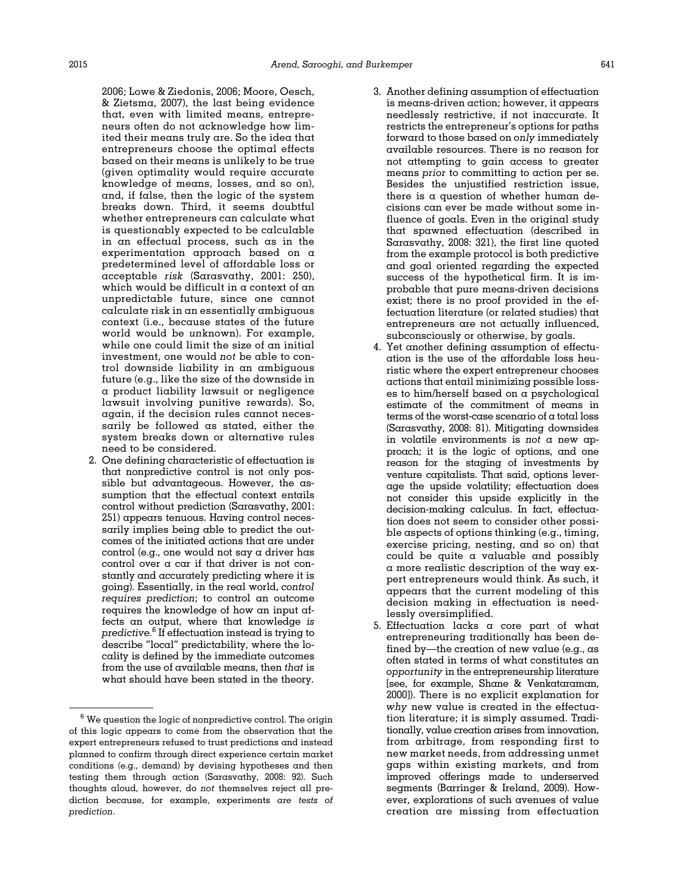[2006; Lowe](#page-20-0) [& Ziedonis, 2006; Moore, Oesch,](#page-20-0) & [Zietsma, 2007\)](#page-20-0), the last being evidence that, even with limited means, entrepreneurs often do not acknowledge how limited their means truly are. So the idea that entrepreneurs choose the optimal effects based on their means is unlikely to be true (given optimality would require accurate knowledge of means, losses, and so on), and, if false, then the logic of the system breaks down. Third, it seems doubtful whether entrepreneurs can calculate what is questionably expected to be calculable in an effectual process, such as in the experimentation approach based on a predetermined level of affordable loss or acceptable risk ([Sarasvathy, 2001:](#page-20-0) 250), which would be difficult in a context of an unpredictable future, since one cannot calculate risk in an essentially ambiguous context (i.e., because states of the future world would be unknown). For example, while one could limit the size of an initial investment, one would not be able to control downside liability in an ambiguous future (e.g., like the size of the downside in a product liability lawsuit or negligence lawsuit involving punitive rewards). So, again, if the decision rules cannot necessarily be followed as stated, either the system breaks down or alternative rules need to be considered.

2. One defining characteristic of effectuation is that nonpredictive control is not only possible but advantageous. However, the assumption that the effectual context entails control without prediction [\(Sarasvathy, 2001:](#page-20-0) 251) appears tenuous. Having control necessarily implies being able to predict the outcomes of the initiated actions that are under control (e.g., one would not say a driver has control over a car if that driver is not constantly and accurately predicting where it is going). Essentially, in the real world, control requires prediction; to control an outcome requires the knowledge of how an input affects an output, where that knowledge is predictive. $6$  If effectuation instead is trying to describe "local" predictability, where the locality is defined by the immediate outcomes from the use of available means, then that is what should have been stated in the theory.

- 3. Another defining assumption of effectuation is means-driven action; however, it appears needlessly restrictive, if not inaccurate. It restricts the entrepreneur's options for paths forward to those based on only immediately available resources. There is no reason for not attempting to gain access to greater means prior to committing to action per se. Besides the unjustified restriction issue, there is a question of whether human decisions can ever be made without some influence of goals. Even in the original study that spawned effectuation (described in [Sarasvathy, 2008:](#page-20-0) 321), the first line quoted from the example protocol is both predictive and goal oriented regarding the expected success of the hypothetical firm. It is improbable that pure means-driven decisions exist; there is no proof provided in the effectuation literature (or related studies) that entrepreneurs are not actually influenced, subconsciously or otherwise, by goals.
- 4. Yet another defining assumption of effectuation is the use of the affordable loss heuristic where the expert entrepreneur chooses actions that entail minimizing possible losses to him/herself based on a psychological estimate of the commitment of means in terms of the worst-case scenario of a total loss ([Sarasvathy, 2008:](#page-20-0) 81). Mitigating downsides in volatile environments is not  $\alpha$  new approach; it is the logic of options, and one reason for the staging of investments by venture capitalists. That said, options leverage the upside volatility; effectuation does not consider this upside explicitly in the decision-making calculus. In fact, effectuation does not seem to consider other possible aspects of options thinking (e.g., timing, exercise pricing, nesting, and so on) that could be quite a valuable and possibly a more realistic description of the way expert entrepreneurs would think. As such, it appears that the current modeling of this decision making in effectuation is needlessly oversimplified.
- 5. Effectuation lacks a core part of what entrepreneuring traditionally has been defined by—the creation of new value (e.g., as often stated in terms of what constitutes an opportunity in the entrepreneurship literature [see, for example, [Shane & Venkataraman,](#page-21-0) [2000](#page-21-0)]). There is no explicit explanation for why new value is created in the effectuation literature; it is simply assumed. Traditionally, value creation arises from innovation, from arbitrage, from responding first to new market needs, from addressing unmet gaps within existing markets, and from improved offerings made to underserved segments ([Barringer & Ireland, 2009](#page-19-0)). However, explorations of such avenues of value creation are missing from effectuation

 $6$  We question the logic of nonpredictive control. The origin of this logic appears to come from the observation that the expert entrepreneurs refused to trust predictions and instead planned to confirm through direct experience certain market conditions (e.g., demand) by devising hypotheses and then testing them through action ([Sarasvathy, 2008](#page-20-0): 92). Such thoughts aloud, however, do not themselves reject all prediction because, for example, experiments are tests of prediction.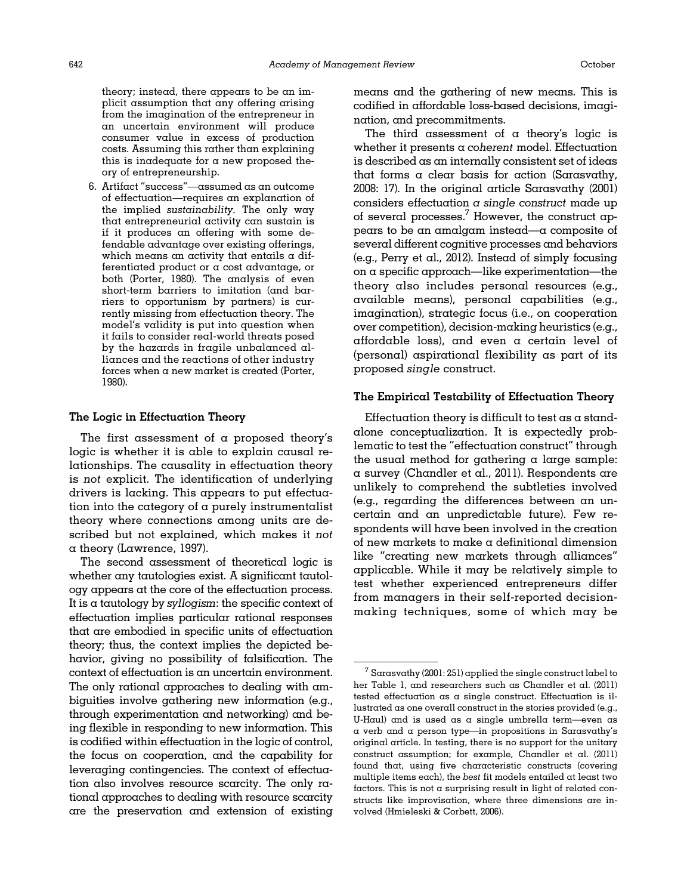theory; instead, there appears to be an implicit assumption that any offering arising from the imagination of the entrepreneur in an uncertain environment will produce consumer value in excess of production costs. Assuming this rather than explaining this is inadequate for a new proposed theory of entrepreneurship.

6. Artifact "success"—assumed as an outcome of effectuation—requires an explanation of the implied sustainability. The only way that entrepreneurial activity can sustain is if it produces an offering with some defendable advantage over existing offerings, which means an activity that entails a differentiated product or a cost advantage, or both ([Porter, 1980\)](#page-20-0). The analysis of even short-term barriers to imitation (and barriers to opportunism by partners) is currently missing from effectuation theory. The model's validity is put into question when it fails to consider real-world threats posed by the hazards in fragile unbalanced alliances and the reactions of other industry forces when  $\alpha$  new market is created [\(Porter,](#page-20-0) [1980\)](#page-20-0).

#### The Logic in Effectuation Theory

The first assessment of  $\alpha$  proposed theory's logic is whether it is able to explain causal relationships. The causality in effectuation theory is not explicit. The identification of underlying drivers is lacking. This appears to put effectuation into the category of a purely instrumentalist theory where connections among units are described but not explained, which makes it not a theory [\(Lawrence, 1997](#page-20-0)).

The second assessment of theoretical logic is whether any tautologies exist. A significant tautology appears at the core of the effectuation process. It is a tautology by syllogism: the specific context of effectuation implies particular rational responses that are embodied in specific units of effectuation theory; thus, the context implies the depicted behavior, giving no possibility of falsification. The context of effectuation is an uncertain environment. The only rational approaches to dealing with ambiguities involve gathering new information (e.g., through experimentation and networking) and being flexible in responding to new information. This is codified within effectuation in the logic of control, the focus on cooperation, and the capability for leveraging contingencies. The context of effectuation also involves resource scarcity. The only rational approaches to dealing with resource scarcity are the preservation and extension of existing means and the gathering of new means. This is codified in affordable loss-based decisions, imagination, and precommitments.

The third assessment of  $\alpha$  theory's logic is whether it presents  $\alpha$  coherent model. Effectuation is described as an internally consistent set of ideas that forms a clear basis for action [\(Sarasvathy,](#page-20-0) [2008](#page-20-0): 17). In the original article [Sarasvathy \(2001\)](#page-20-0) considers effectuation  $\alpha$  single construct made up of several processes.<sup>7</sup> However, the construct appears to be an amalgam instead—a composite of several different cognitive processes and behaviors (e.g., [Perry et al., 2012\)](#page-20-0). Instead of simply focusing on a specific approach—like experimentation—the theory also includes personal resources (e.g., available means), personal capabilities (e.g., imagination), strategic focus (i.e., on cooperation over competition), decision-making heuristics (e.g., affordable loss), and even a certain level of (personal) aspirational flexibility as part of its proposed single construct.

#### The Empirical Testability of Effectuation Theory

Effectuation theory is difficult to test as a standalone conceptualization. It is expectedly problematic to test the "effectuation construct" through the usual method for gathering  $\alpha$  large sample: a survey [\(Chandler et al., 2011\)](#page-19-0). Respondents are unlikely to comprehend the subtleties involved (e.g., regarding the differences between an uncertain and an unpredictable future). Few respondents will have been involved in the creation of new markets to make a definitional dimension like "creating new markets through alliances" applicable. While it may be relatively simple to test whether experienced entrepreneurs differ from managers in their self-reported decisionmaking techniques, some of which may be

 $^7$  [Sarasvathy \(2001](#page-20-0): 251) applied the single construct label to her [Table 1,](#page-5-0) and researchers such as [Chandler et al. \(2011\)](#page-19-0) tested effectuation as a single construct. Effectuation is illustrated as one overall construct in the stories provided (e.g., U-Haul) and is used as a single umbrella term—even as a verb and a person type—in propositions in Sarasvathy's original article. In testing, there is no support for the unitary construct assumption; for example, [Chandler et al. \(2011\)](#page-19-0) found that, using five characteristic constructs (covering multiple items each), the best fit models entailed at least two factors. This is not a surprising result in light of related constructs like improvisation, where three dimensions are involved [\(Hmieleski](#page-20-0) [& Corbett, 2006\)](#page-20-0).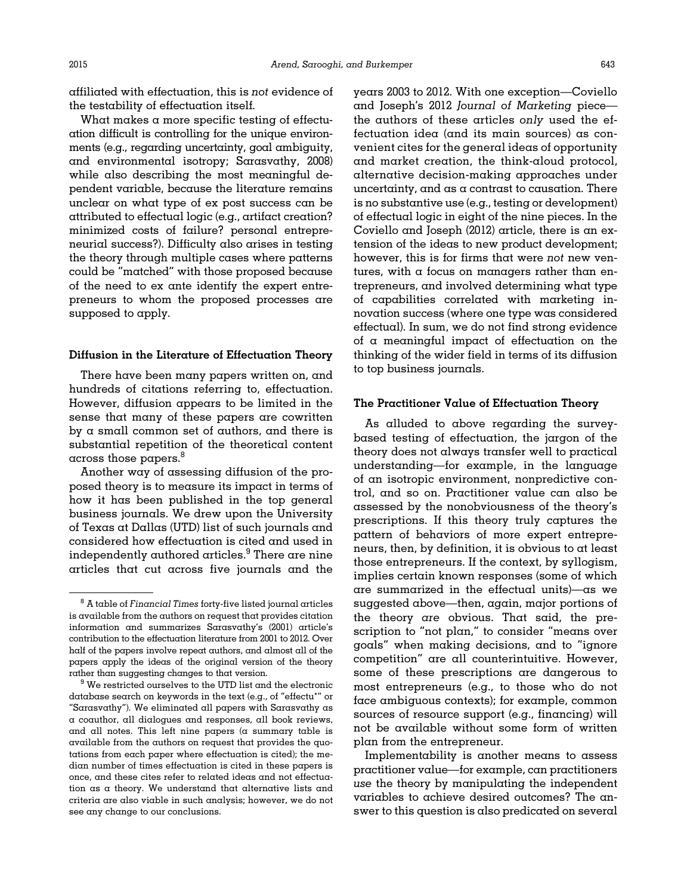What makes a more specific testing of effectuation difficult is controlling for the unique environments (e.g., regarding uncertainty, goal ambiguity, and environmental isotropy; [Sarasvathy, 2008](#page-20-0)) while also describing the most meaningful dependent variable, because the literature remains unclear on what type of ex post success can be attributed to effectual logic (e.g., artifact creation? minimized costs of failure? personal entrepreneurial success?). Difficulty also arises in testing the theory through multiple cases where patterns could be "matched" with those proposed because of the need to ex ante identify the expert entrepreneurs to whom the proposed processes are supposed to apply.

#### Diffusion in the Literature of Effectuation Theory

There have been many papers written on, and hundreds of citations referring to, effectuation. However, diffusion appears to be limited in the sense that many of these papers are cowritten by a small common set of authors, and there is substantial repetition of the theoretical content across those papers.<sup>8</sup>

Another way of assessing diffusion of the proposed theory is to measure its impact in terms of how it has been published in the top general business journals. We drew upon the University of Texas at Dallas (UTD) list of such journals and considered how effectuation is cited and used in independently authored articles. $9$  There are nine articles that cut across five journals and the

years 2003 to 2012. With one exception—Coviello and Joseph's 2012 Journal of Marketing piece the authors of these articles only used the effectuation idea (and its main sources) as convenient cites for the general ideas of opportunity and market creation, the think-aloud protocol, alternative decision-making approaches under uncertainty, and as a contrast to causation. There is no substantive use (e.g., testing or development) of effectual logic in eight of the nine pieces. In the [Coviello and Joseph \(2012\)](#page-19-0) article, there is an extension of the ideas to new product development; however, this is for firms that were not new ventures, with a focus on managers rather than entrepreneurs, and involved determining what type of capabilities correlated with marketing innovation success (where one type was considered effectual). In sum, we do not find strong evidence of a meaningful impact of effectuation on the thinking of the wider field in terms of its diffusion to top business journals.

#### The Practitioner Value of Effectuation Theory

As alluded to above regarding the surveybased testing of effectuation, the jargon of the theory does not always transfer well to practical understanding—for example, in the language of an isotropic environment, nonpredictive control, and so on. Practitioner value can also be assessed by the nonobviousness of the theory's prescriptions. If this theory truly captures the pattern of behaviors of more expert entrepreneurs, then, by definition, it is obvious to at least those entrepreneurs. If the context, by syllogism, implies certain known responses (some of which are summarized in the effectual units)—as we suggested above—then, again, major portions of the theory are obvious. That said, the prescription to "not plan," to consider "means over goals" when making decisions, and to "ignore competition" are all counterintuitive. However, some of these prescriptions are dangerous to most entrepreneurs (e.g., to those who do not face ambiguous contexts); for example, common sources of resource support (e.g., financing) will not be available without some form of written plan from the entrepreneur.

Implementability is another means to assess practitioner value—for example, can practitioners use the theory by manipulating the independent variables to achieve desired outcomes? The answer to this question is also predicated on several

 $^8$  A table of Financial Times forty-five listed journal articles is available from the authors on request that provides citation information and summarizes [Sarasvathy](#page-20-0)'s (2001) article's contribution to the effectuation literature from 2001 to 2012. Over half of the papers involve repeat authors, and almost all of the papers apply the ideas of the original version of the theory rather than suggesting changes to that version. <sup>9</sup> We restricted ourselves to the UTD list and the electronic

database search on keywords in the text (e.g., of "effectu\*" or "Sarasvathy"). We eliminated all papers with Sarasvathy as a coauthor, all dialogues and responses, all book reviews, and all notes. This left nine papers ( $\alpha$  summary table is available from the authors on request that provides the quotations from each paper where effectuation is cited); the median number of times effectuation is cited in these papers is once, and these cites refer to related ideas and not effectuation as a theory. We understand that alternative lists and criteria are also viable in such analysis; however, we do not see any change to our conclusions.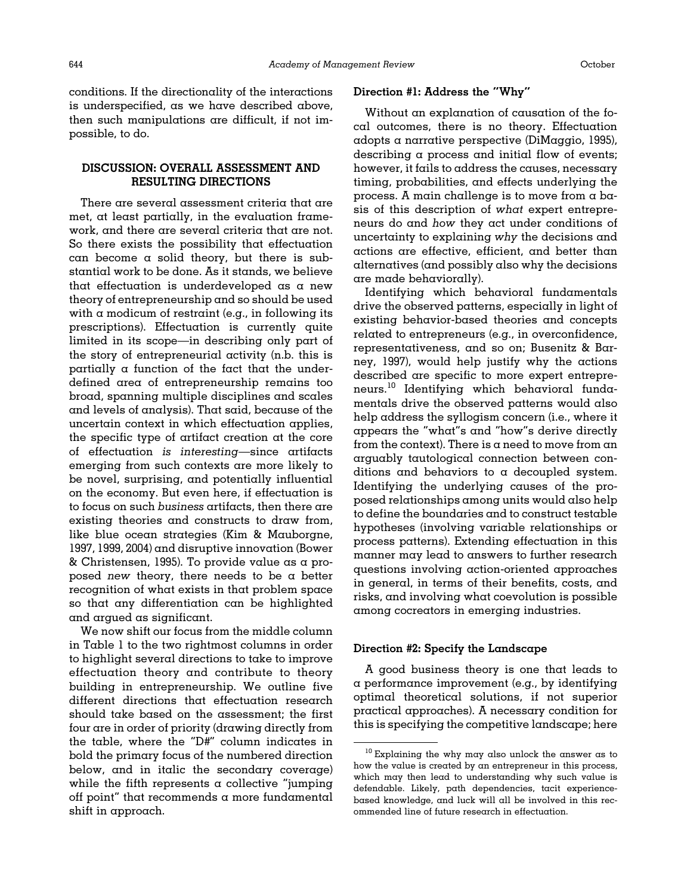conditions. If the directionality of the interactions is underspecified, as we have described above, then such manipulations are difficult, if not impossible, to do.

# DISCUSSION: OVERALL ASSESSMENT AND RESULTING DIRECTIONS

There are several assessment criteria that are met, at least partially, in the evaluation framework, and there are several criteria that are not. So there exists the possibility that effectuation can become a solid theory, but there is substantial work to be done. As it stands, we believe that effectuation is underdeveloped as a new theory of entrepreneurship and so should be used with  $\alpha$  modicum of restraint (e.g., in following its prescriptions). Effectuation is currently quite limited in its scope—in describing only part of the story of entrepreneurial activity (n.b. this is partially a function of the fact that the underdefined area of entrepreneurship remains too broad, spanning multiple disciplines and scales and levels of analysis). That said, because of the uncertain context in which effectuation applies, the specific type of artifact creation at the core of effectuation is interesting—since artifacts emerging from such contexts are more likely to be novel, surprising, and potentially influential on the economy. But even here, if effectuation is to focus on such business artifacts, then there are existing theories and constructs to draw from, like blue ocean strategies ([Kim](#page-20-0) & [Mauborgne,](#page-20-0) [1997, 1999](#page-20-0), [2004\)](#page-20-0) and disruptive innovation ([Bower](#page-19-0) & [Christensen, 1995](#page-19-0)). To provide value as a proposed new theory, there needs to be  $\alpha$  better recognition of what exists in that problem space so that any differentiation can be highlighted and argued as significant.

We now shift our focus from the middle column in [Table 1](#page-5-0) to the two rightmost columns in order to highlight several directions to take to improve effectuation theory and contribute to theory building in entrepreneurship. We outline five different directions that effectuation research should take based on the assessment; the first four are in order of priority (drawing directly from the table, where the "D#" column indicates in bold the primary focus of the numbered direction below, and in italic the secondary coverage) while the fifth represents  $\alpha$  collective "jumping" off point" that recommends a more fundamental shift in approach.

#### Direction #1: Address the "Why"

Without an explanation of causation of the focal outcomes, there is no theory. Effectuation adopts a narrative perspective [\(DiMaggio, 1995\)](#page-19-0), describing a process and initial flow of events; however, it fails to address the causes, necessary timing, probabilities, and effects underlying the process. A main challenge is to move from a basis of this description of what expert entrepreneurs do and how they act under conditions of uncertainty to explaining why the decisions and actions are effective, efficient, and better than alternatives (and possibly also why the decisions are made behaviorally).

Identifying which behavioral fundamentals drive the observed patterns, especially in light of existing behavior-based theories and concepts related to entrepreneurs (e.g., in overconfidence, representativeness, and so on; [Busenitz](#page-19-0) [& Bar](#page-19-0)[ney, 1997\)](#page-19-0), would help justify why the actions described are specific to more expert entrepreneurs.<sup>10</sup> Identifying which behavioral fundamentals drive the observed patterns would also help address the syllogism concern (i.e., where it appears the "what"s and "how"s derive directly from the context). There is a need to move from an arguably tautological connection between conditions and behaviors to a decoupled system. Identifying the underlying causes of the proposed relationships among units would also help to define the boundaries and to construct testable hypotheses (involving variable relationships or process patterns). Extending effectuation in this manner may lead to answers to further research questions involving action-oriented approaches in general, in terms of their benefits, costs, and risks, and involving what coevolution is possible among cocreators in emerging industries.

#### Direction #2: Specify the Landscape

A good business theory is one that leads to a performance improvement (e.g., by identifying optimal theoretical solutions, if not superior practical approaches). A necessary condition for this is specifying the competitive landscape; here

<sup>10</sup> Explaining the why may also unlock the answer as to how the value is created by an entrepreneur in this process, which may then lead to understanding why such value is defendable. Likely, path dependencies, tacit experiencebased knowledge, and luck will all be involved in this recommended line of future research in effectuation.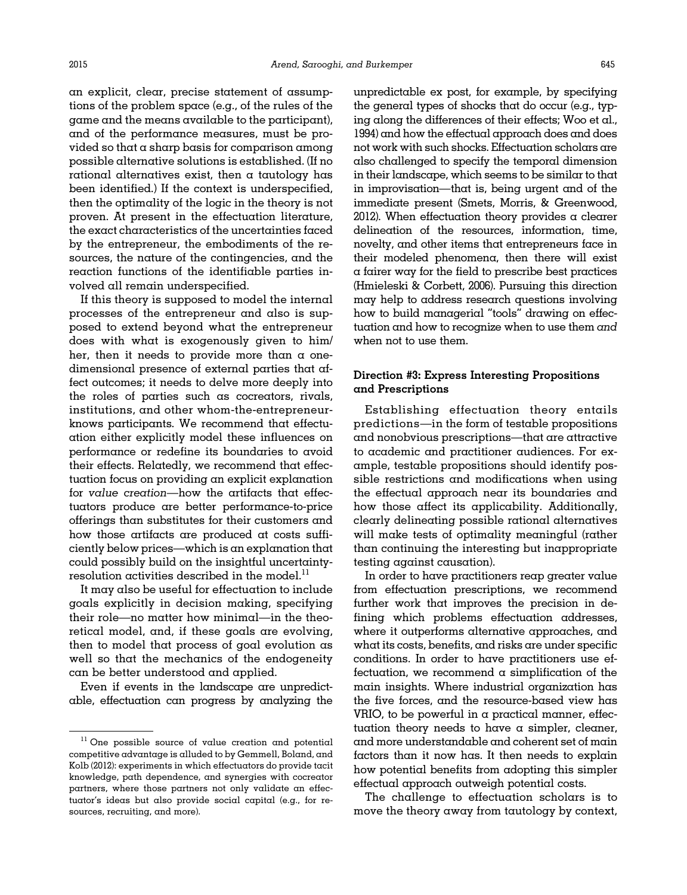an explicit, clear, precise statement of assumptions of the problem space (e.g., of the rules of the game and the means available to the participant), and of the performance measures, must be provided so that a sharp basis for comparison among possible alternative solutions is established. (If no rational alternatives exist, then a tautology has been identified.) If the context is underspecified, then the optimality of the logic in the theory is not proven. At present in the effectuation literature, the exact characteristics of the uncertainties faced by the entrepreneur, the embodiments of the resources, the nature of the contingencies, and the reaction functions of the identifiable parties involved all remain underspecified.

If this theory is supposed to model the internal processes of the entrepreneur and also is supposed to extend beyond what the entrepreneur does with what is exogenously given to him/ her, then it needs to provide more than  $\alpha$  onedimensional presence of external parties that affect outcomes; it needs to delve more deeply into the roles of parties such as cocreators, rivals, institutions, and other whom-the-entrepreneurknows participants. We recommend that effectuation either explicitly model these influences on performance or redefine its boundaries to avoid their effects. Relatedly, we recommend that effectuation focus on providing an explicit explanation for value creation—how the artifacts that effectuators produce are better performance-to-price offerings than substitutes for their customers and how those artifacts are produced at costs sufficiently below prices—which is an explanation that could possibly build on the insightful uncertaintyresolution activities described in the model. $^{11}$ 

It may also be useful for effectuation to include goals explicitly in decision making, specifying their role—no matter how minimal—in the theoretical model, and, if these goals are evolving, then to model that process of goal evolution as well so that the mechanics of the endogeneity can be better understood and applied.

Even if events in the landscape are unpredictable, effectuation can progress by analyzing the

unpredictable ex post, for example, by specifying the general types of shocks that do occur (e.g., typing along the differences of their effects; [Woo et al.,](#page-21-0) [1994\)](#page-21-0) and how the effectual approach does and does not work with such shocks. Effectuation scholars are also challenged to specify the temporal dimension in their landscape, which seems to be similar to that in improvisation—that is, being urgent and of the immediate present ([Smets, Morris,](#page-21-0) [& Greenwood,](#page-21-0) [2012\)](#page-21-0). When effectuation theory provides  $\alpha$  clearer delineation of the resources, information, time, novelty, and other items that entrepreneurs face in their modeled phenomena, then there will exist a fairer way for the field to prescribe best practices [\(Hmieleski & Corbett, 2006](#page-20-0)). Pursuing this direction may help to address research questions involving how to build managerial "tools" drawing on effectuation and how to recognize when to use them and when not to use them.

# Direction #3: Express Interesting Propositions and Prescriptions

Establishing effectuation theory entails predictions—in the form of testable propositions and nonobvious prescriptions—that are attractive to academic and practitioner audiences. For example, testable propositions should identify possible restrictions and modifications when using the effectual approach near its boundaries and how those affect its applicability. Additionally, clearly delineating possible rational alternatives will make tests of optimality meaningful (rather than continuing the interesting but inappropriate testing against causation).

In order to have practitioners reap greater value from effectuation prescriptions, we recommend further work that improves the precision in defining which problems effectuation addresses, where it outperforms alternative approaches, and what its costs, benefits, and risks are under specific conditions. In order to have practitioners use effectuation, we recommend a simplification of the main insights. Where industrial organization has the five forces, and the resource-based view has VRIO, to be powerful in a practical manner, effectuation theory needs to have a simpler, cleaner, and more understandable and coherent set of main factors than it now has. It then needs to explain how potential benefits from adopting this simpler effectual approach outweigh potential costs.

The challenge to effectuation scholars is to move the theory away from tautology by context,

<sup>&</sup>lt;sup>11</sup> One possible source of value creation and potential competitive advantage is alluded to by [Gemmell, Boland, and](#page-19-0) [Kolb \(2012\):](#page-19-0) experiments in which effectuators do provide tacit knowledge, path dependence, and synergies with cocreator partners, where those partners not only validate an effectuator's ideas but also provide social capital (e.g., for resources, recruiting, and more).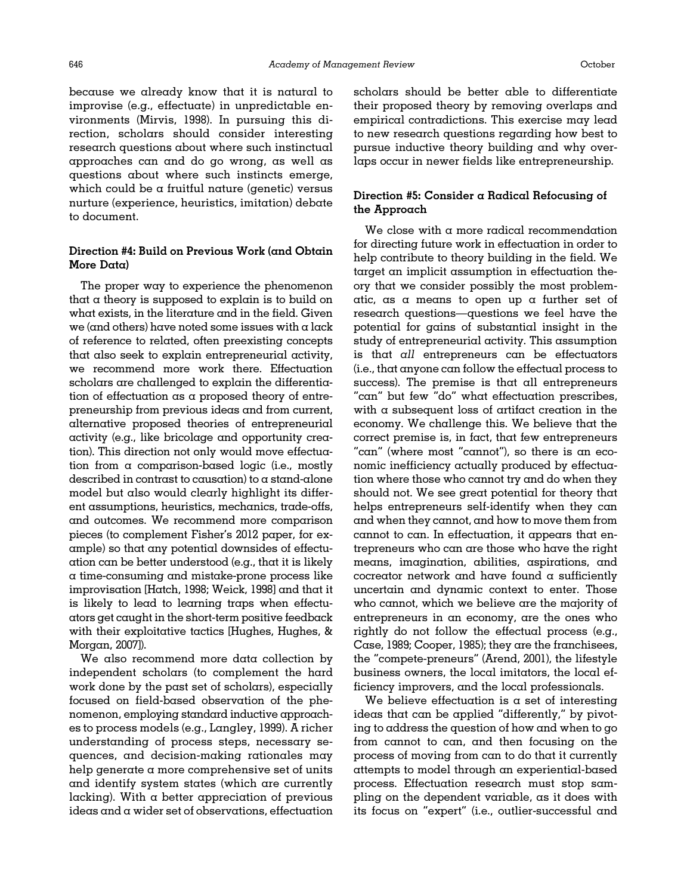because we already know that it is natural to improvise (e.g., effectuate) in unpredictable environments ([Mirvis, 1998\)](#page-20-0). In pursuing this direction, scholars should consider interesting research questions about where such instinctual approaches can and do go wrong, as well as questions about where such instincts emerge, which could be a fruitful nature (genetic) versus nurture (experience, heuristics, imitation) debate to document.

# Direction #4: Build on Previous Work (and Obtain More Data)

The proper way to experience the phenomenon that a theory is supposed to explain is to build on what exists, in the literature and in the field. Given we (and others) have noted some issues with a lack of reference to related, often preexisting concepts that also seek to explain entrepreneurial activity, we recommend more work there. Effectuation scholars are challenged to explain the differentiation of effectuation as a proposed theory of entrepreneurship from previous ideas and from current, alternative proposed theories of entrepreneurial activity (e.g., like bricolage and opportunity creation). This direction not only would move effectuation from a comparison-based logic (i.e., mostly described in contrast to causation) to a stand-alone model but also would clearly highlight its different assumptions, heuristics, mechanics, trade-offs, and outcomes. We recommend more comparison pieces (to complement [Fisher](#page-19-0)'s 2012 paper, for example) so that any potential downsides of effectuation can be better understood (e.g., that it is likely a time-consuming and mistake-prone process like improvisation [[Hatch, 1998](#page-20-0); [Weick, 1998\]](#page-21-0) and that it is likely to lead to learning traps when effectuators get caught in the short-term positive feedback with their exploitative tactics [\[Hughes, Hughes, &](#page-20-0) [Morgan, 2007](#page-20-0)]).

We also recommend more data collection by independent scholars (to complement the hard work done by the past set of scholars), especially focused on field-based observation of the phenomenon, employing standard inductive approaches to process models (e.g., [Langley, 1999\)](#page-20-0). A richer understanding of process steps, necessary sequences, and decision-making rationales may help generate a more comprehensive set of units and identify system states (which are currently lacking). With a better appreciation of previous ideas and a wider set of observations, effectuation scholars should be better able to differentiate their proposed theory by removing overlaps and empirical contradictions. This exercise may lead to new research questions regarding how best to pursue inductive theory building and why overlaps occur in newer fields like entrepreneurship.

# Direction #5: Consider a Radical Refocusing of the Approach

We close with a more radical recommendation for directing future work in effectuation in order to help contribute to theory building in the field. We target an implicit assumption in effectuation theory that we consider possibly the most problematic, as a means to open up a further set of research questions—questions we feel have the potential for gains of substantial insight in the study of entrepreneurial activity. This assumption is that all entrepreneurs can be effectuators (i.e., that anyone can follow the effectual process to success). The premise is that all entrepreneurs "can" but few "do" what effectuation prescribes, with a subsequent loss of artifact creation in the economy. We challenge this. We believe that the correct premise is, in fact, that few entrepreneurs "can" (where most "cannot"), so there is an economic inefficiency actually produced by effectuation where those who cannot try and do when they should not. We see great potential for theory that helps entrepreneurs self-identify when they can and when they cannot, and how to move them from cannot to can. In effectuation, it appears that entrepreneurs who can are those who have the right means, imagination, abilities, aspirations, and cocreator network and have found a sufficiently uncertain and dynamic context to enter. Those who cannot, which we believe are the majority of entrepreneurs in an economy, are the ones who rightly do not follow the effectual process (e.g., [Case, 1989; Cooper, 1985\)](#page-19-0); they are the franchisees, the "compete-preneurs" ([Arend, 2001](#page-18-0)), the lifestyle business owners, the local imitators, the local efficiency improvers, and the local professionals.

We believe effectuation is a set of interesting ideas that can be applied "differently," by pivoting to address the question of how and when to go from cannot to can, and then focusing on the process of moving from can to do that it currently attempts to model through an experiential-based process. Effectuation research must stop sampling on the dependent variable, as it does with its focus on "expert" (i.e., outlier-successful and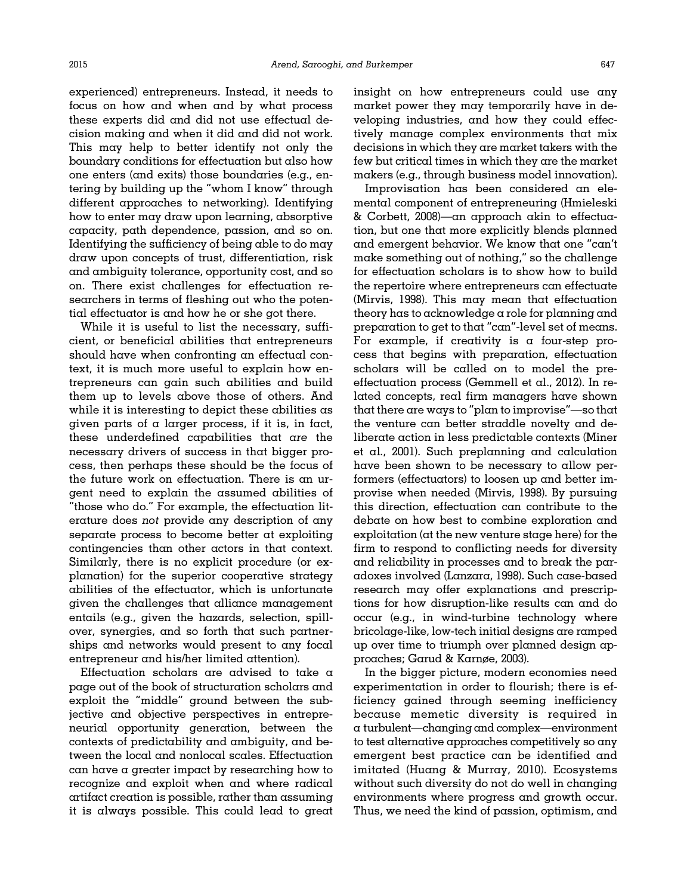experienced) entrepreneurs. Instead, it needs to focus on how and when and by what process these experts did and did not use effectual decision making and when it did and did not work. This may help to better identify not only the boundary conditions for effectuation but also how one enters (and exits) those boundaries (e.g., entering by building up the "whom I know" through different approaches to networking). Identifying how to enter may draw upon learning, absorptive capacity, path dependence, passion, and so on. Identifying the sufficiency of being able to do may draw upon concepts of trust, differentiation, risk and ambiguity tolerance, opportunity cost, and so on. There exist challenges for effectuation researchers in terms of fleshing out who the potential effectuator is and how he or she got there.

While it is useful to list the necessary, sufficient, or beneficial abilities that entrepreneurs should have when confronting an effectual context, it is much more useful to explain how entrepreneurs can gain such abilities and build them up to levels above those of others. And while it is interesting to depict these abilities as given parts of  $\alpha$  larger process, if it is, in fact, these underdefined capabilities that are the necessary drivers of success in that bigger process, then perhaps these should be the focus of the future work on effectuation. There is an urgent need to explain the assumed abilities of "those who do." For example, the effectuation literature does not provide any description of any separate process to become better at exploiting contingencies than other actors in that context. Similarly, there is no explicit procedure (or explanation) for the superior cooperative strategy abilities of the effectuator, which is unfortunate given the challenges that alliance management entails (e.g., given the hazards, selection, spillover, synergies, and so forth that such partnerships and networks would present to any focal entrepreneur and his/her limited attention).

Effectuation scholars are advised to take a page out of the book of structuration scholars and exploit the "middle" ground between the subjective and objective perspectives in entrepreneurial opportunity generation, between the contexts of predictability and ambiguity, and between the local and nonlocal scales. Effectuation can have a greater impact by researching how to recognize and exploit when and where radical artifact creation is possible, rather than assuming it is always possible. This could lead to great insight on how entrepreneurs could use any market power they may temporarily have in developing industries, and how they could effectively manage complex environments that mix decisions in which they are market takers with the few but critical times in which they are the market makers (e.g., through business model innovation).

Improvisation has been considered an elemental component of entrepreneuring ([Hmieleski](#page-20-0) [& Corbett, 2008\)](#page-20-0)—an approach akin to effectuation, but one that more explicitly blends planned and emergent behavior. We know that one "can't make something out of nothing," so the challenge for effectuation scholars is to show how to build the repertoire where entrepreneurs can effectuate ([Mirvis, 1998\)](#page-20-0). This may mean that effectuation theory has to acknowledge a role for planning and preparation to get to that "can"-level set of means. For example, if creativity is a four-step process that begins with preparation, effectuation scholars will be called on to model the preeffectuation process [\(Gemmell et al., 2012\)](#page-19-0). In related concepts, real firm managers have shown that there are ways to "plan to improvise"—so that the venture can better straddle novelty and deliberate action in less predictable contexts [\(Miner](#page-20-0) [et al., 2001\)](#page-20-0). Such preplanning and calculation have been shown to be necessary to allow performers (effectuators) to loosen up and better improvise when needed ([Mirvis, 1998\)](#page-20-0). By pursuing this direction, effectuation can contribute to the debate on how best to combine exploration and exploitation (at the new venture stage here) for the firm to respond to conflicting needs for diversity and reliability in processes and to break the paradoxes involved ([Lanzara, 1998\)](#page-20-0). Such case-based research may offer explanations and prescriptions for how disruption-like results can and do occur (e.g., in wind-turbine technology where bricolage-like, low-tech initial designs are ramped up over time to triumph over planned design approaches; [Garud & Karnøe, 2003\)](#page-19-0).

In the bigger picture, modern economies need experimentation in order to flourish; there is efficiency gained through seeming inefficiency because memetic diversity is required in a turbulent—changing and complex—environment to test alternative approaches competitively so any emergent best practice can be identified and imitated [\(Huang & Murray, 2010\)](#page-20-0). Ecosystems without such diversity do not do well in changing environments where progress and growth occur. Thus, we need the kind of passion, optimism, and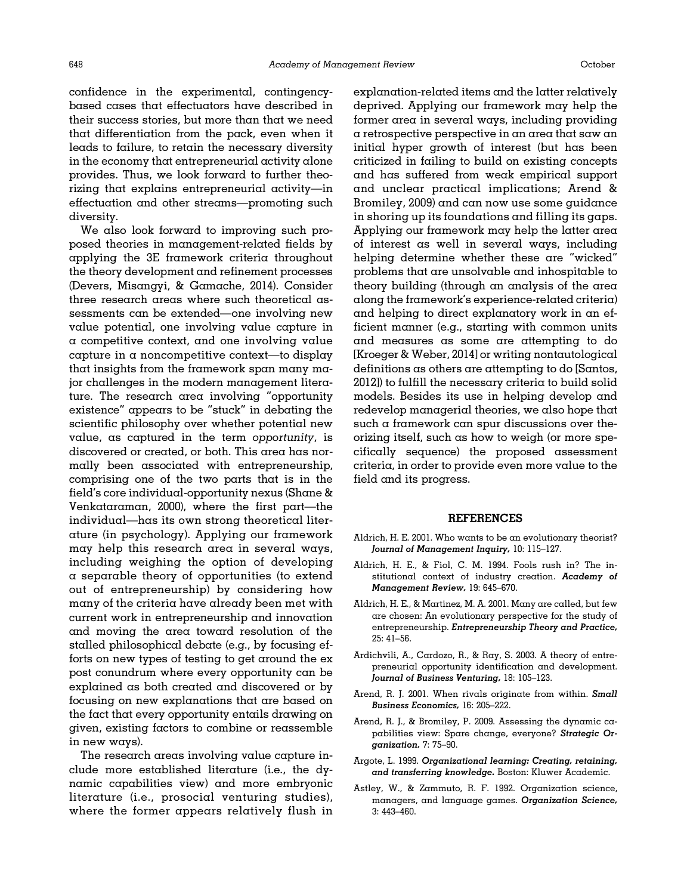<span id="page-18-0"></span>confidence in the experimental, contingencybased cases that effectuators have described in their success stories, but more than that we need that differentiation from the pack, even when it leads to failure, to retain the necessary diversity in the economy that entrepreneurial activity alone provides. Thus, we look forward to further theorizing that explains entrepreneurial activity—in effectuation and other streams—promoting such diversity.

We also look forward to improving such proposed theories in management-related fields by applying the 3E framework criteria throughout the theory development and refinement processes [\(Devers, Misangyi,](#page-19-0) [& Gamache, 2014\)](#page-19-0). Consider three research areas where such theoretical assessments can be extended—one involving new value potential, one involving value capture in a competitive context, and one involving value capture in a noncompetitive context—to display that insights from the framework span many major challenges in the modern management literature. The research area involving "opportunity existence" appears to be "stuck" in debating the scientific philosophy over whether potential new value, as captured in the term opportunity, is discovered or created, or both. This area has normally been associated with entrepreneurship, comprising one of the two parts that is in the field's core individual-opportunity nexus ([Shane &](#page-21-0) [Venkataraman, 2000\)](#page-21-0), where the first part—the individual—has its own strong theoretical literature (in psychology). Applying our framework may help this research area in several ways, including weighing the option of developing a separable theory of opportunities (to extend out of entrepreneurship) by considering how many of the criteria have already been met with current work in entrepreneurship and innovation and moving the area toward resolution of the stalled philosophical debate (e.g., by focusing efforts on new types of testing to get around the ex post conundrum where every opportunity can be explained as both created and discovered or by focusing on new explanations that are based on the fact that every opportunity entails drawing on given, existing factors to combine or reassemble in new ways).

The research areas involving value capture include more established literature (i.e., the dynamic capabilities view) and more embryonic literature (i.e., prosocial venturing studies), where the former appears relatively flush in

explanation-related items and the latter relatively deprived. Applying our framework may help the former area in several ways, including providing a retrospective perspective in an area that saw an initial hyper growth of interest (but has been criticized in failing to build on existing concepts and has suffered from weak empirical support and unclear practical implications; Arend & Bromiley, 2009) and can now use some guidance in shoring up its foundations and filling its gaps. Applying our framework may help the latter area of interest as well in several ways, including helping determine whether these are "wicked" problems that are unsolvable and inhospitable to theory building (through an analysis of the area along the framework's experience-related criteria) and helping to direct explanatory work in an efficient manner (e.g., starting with common units and measures as some are attempting to do [[Kroeger & Weber, 2014\]](#page-20-0) or writing nontautological definitions as others are attempting to do [\[Santos,](#page-20-0) [2012\]](#page-20-0)) to fulfill the necessary criteria to build solid models. Besides its use in helping develop and redevelop managerial theories, we also hope that such a framework can spur discussions over theorizing itself, such as how to weigh (or more specifically sequence) the proposed assessment criteria, in order to provide even more value to the field and its progress.

#### REFERENCES

- Aldrich, H. E. 2001. Who wants to be an evolutionary theorist? Journal of Management Inquiry, 10: 115–127.
- Aldrich, H. E., & Fiol, C. M. 1994. Fools rush in? The institutional context of industry creation. Academy of Management Review, 19: 645–670.
- Aldrich, H. E., & Martinez, M. A. 2001. Many are called, but few are chosen: An evolutionary perspective for the study of entrepreneurship. Entrepreneurship Theory and Practice, 25: 41–56.
- Ardichvili, A., Cardozo, R., & Ray, S. 2003. A theory of entrepreneurial opportunity identification and development. Journal of Business Venturing, 18: 105–123.
- Arend, R. J. 2001. When rivals originate from within. Small Business Economics, 16: 205–222.
- Arend, R. J., & Bromiley, P. 2009. Assessing the dynamic capabilities view: Spare change, everyone? Strategic Organization, 7: 75–90.
- Argote, L. 1999. Organizational learning: Creating, retaining, and transferring knowledge. Boston: Kluwer Academic.
- Astley, W., & Zammuto, R. F. 1992. Organization science, managers, and language games. Organization Science, 3: 443–460.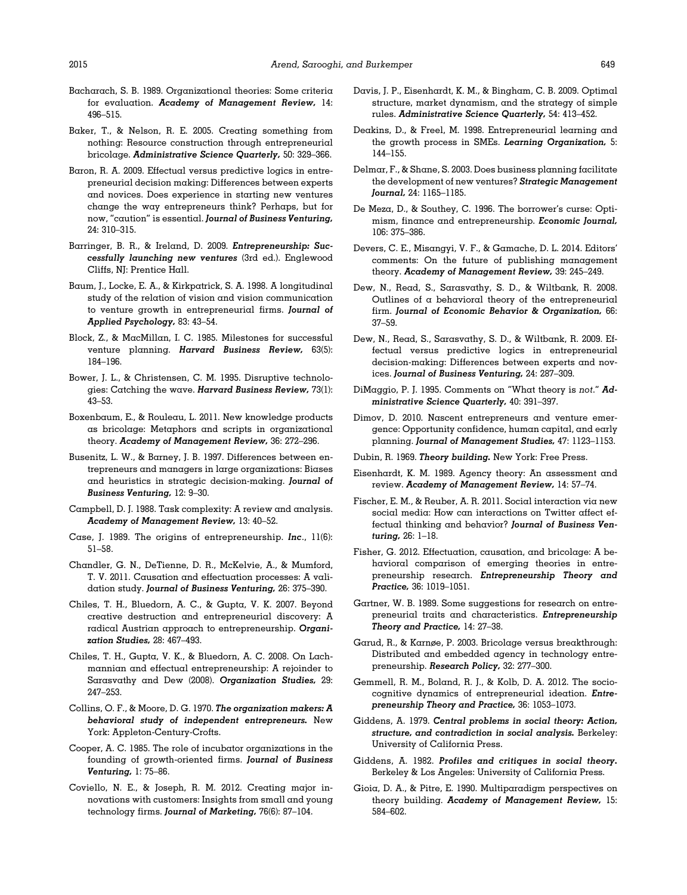- <span id="page-19-0"></span>Bacharach, S. B. 1989. Organizational theories: Some criteria for evaluation. Academy of Management Review, 14: 496–515.
- Baker, T., & Nelson, R. E. 2005. Creating something from nothing: Resource construction through entrepreneurial bricolage. Administrative Science Quarterly, 50: 329–366.
- Baron, R. A. 2009. Effectual versus predictive logics in entrepreneurial decision making: Differences between experts and novices. Does experience in starting new ventures change the way entrepreneurs think? Perhaps, but for now, "caution" is essential. Journal of Business Venturing, 24: 310–315.
- Barringer, B. R., & Ireland, D. 2009. Entrepreneurship: Successfully launching new ventures (3rd ed.). Englewood Cliffs, NJ: Prentice Hall.
- Baum, J., Locke, E. A., & Kirkpatrick, S. A. 1998. A longitudinal study of the relation of vision and vision communication to venture growth in entrepreneurial firms. Journal of Applied Psychology, 83: 43–54.
- Block, Z., & MacMillan, I. C. 1985. Milestones for successful venture planning. Harvard Business Review, 63(5): 184–196.
- Bower, J. L., & Christensen, C. M. 1995. Disruptive technologies: Catching the wave. Harvard Business Review, 73(1): 43–53.
- Boxenbaum, E., & Rouleau, L. 2011. New knowledge products as bricolage: Metaphors and scripts in organizational theory. Academy of Management Review, 36: 272–296.
- Busenitz, L. W., & Barney, J. B. 1997. Differences between entrepreneurs and managers in large organizations: Biases and heuristics in strategic decision-making. Journal of Business Venturing, 12: 9–30.
- Campbell, D. J. 1988. Task complexity: A review and analysis. Academy of Management Review, 13: 40–52.
- Case, J. 1989. The origins of entrepreneurship. Inc., 11(6): 51–58.
- Chandler, G. N., DeTienne, D. R., McKelvie, A., & Mumford, T. V. 2011. Causation and effectuation processes: A validation study. Journal of Business Venturing, 26: 375–390.
- Chiles, T. H., Bluedorn, A. C., & Gupta, V. K. 2007. Beyond creative destruction and entrepreneurial discovery: A radical Austrian approach to entrepreneurship. Organization Studies, 28: 467–493.
- Chiles, T. H., Gupta, V. K., & Bluedorn, A. C. 2008. On Lachmannian and effectual entrepreneurship: A rejoinder to Sarasvathy and Dew (2008). Organization Studies, 29: 247–253.
- Collins, O. F., & Moore, D. G. 1970. The organization makers: A behavioral study of independent entrepreneurs. New York: Appleton-Century-Crofts.
- Cooper, A. C. 1985. The role of incubator organizations in the founding of growth-oriented firms. Journal of Business Venturing, 1: 75–86.
- Coviello, N. E., & Joseph, R. M. 2012. Creating major innovations with customers: Insights from small and young technology firms. Journal of Marketing, 76(6): 87–104.
- Davis, J. P., Eisenhardt, K. M., & Bingham, C. B. 2009. Optimal structure, market dynamism, and the strategy of simple rules. Administrative Science Quarterly, 54: 413–452.
- Deakins, D., & Freel, M. 1998. Entrepreneurial learning and the growth process in SMEs. Learning Organization, 5: 144–155.
- Delmar, F., & Shane, S. 2003. Does business planning facilitate the development of new ventures? Strategic Management Journal, 24: 1165–1185.
- De Meza, D., & Southey, C. 1996. The borrower's curse: Optimism, finance and entrepreneurship. Economic Journal, 106: 375–386.
- Devers, C. E., Misangyi, V. F., & Gamache, D. L. 2014. Editors' comments: On the future of publishing management theory. Academy of Management Review, 39: 245–249.
- Dew, N., Read, S., Sarasvathy, S. D., & Wiltbank, R. 2008. Outlines of a behavioral theory of the entrepreneurial firm. Journal of Economic Behavior & Organization, 66: 37–59.
- Dew, N., Read, S., Sarasvathy, S. D., & Wiltbank, R. 2009. Effectual versus predictive logics in entrepreneurial decision-making: Differences between experts and novices. Journal of Business Venturing, 24: 287–309.
- DiMaggio, P. J. 1995. Comments on "What theory is not." Administrative Science Quarterly, 40: 391–397.
- Dimov, D. 2010. Nascent entrepreneurs and venture emergence: Opportunity confidence, human capital, and early planning. Journal of Management Studies, 47: 1123–1153.
- Dubin, R. 1969. Theory building. New York: Free Press.
- Eisenhardt, K. M. 1989. Agency theory: An assessment and review. Academy of Management Review, 14: 57–74.
- Fischer, E. M., & Reuber, A. R. 2011. Social interaction via new social media: How can interactions on Twitter affect effectual thinking and behavior? Journal of Business Venturing, 26: 1–18.
- Fisher, G. 2012. Effectuation, causation, and bricolage: A behavioral comparison of emerging theories in entrepreneurship research. Entrepreneurship Theory and Practice, 36: 1019–1051.
- Gartner, W. B. 1989. Some suggestions for research on entrepreneurial traits and characteristics. Entrepreneurship Theory and Practice, 14: 27–38.
- Garud, R., & Karnøe, P. 2003. Bricolage versus breakthrough: Distributed and embedded agency in technology entrepreneurship. Research Policy, 32: 277–300.
- Gemmell, R. M., Boland, R. J., & Kolb, D. A. 2012. The sociocognitive dynamics of entrepreneurial ideation. Entrepreneurship Theory and Practice, 36: 1053–1073.
- Giddens, A. 1979. Central problems in social theory: Action, structure, and contradiction in social analysis. Berkeley: University of California Press.
- Giddens, A. 1982. Profiles and critiques in social theory. Berkeley & Los Angeles: University of California Press.
- Gioia, D. A., & Pitre, E. 1990. Multiparadigm perspectives on theory building. Academy of Management Review, 15: 584–602.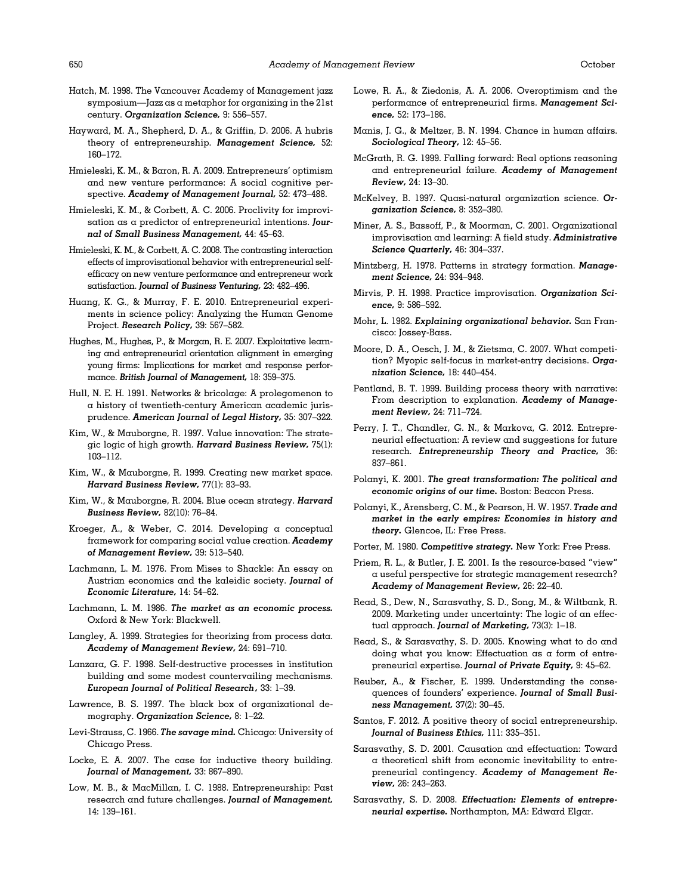- <span id="page-20-0"></span>Hatch, M. 1998. The Vancouver Academy of Management jazz symposium—Jazz as a metaphor for organizing in the 21st century. Organization Science, 9: 556–557.
- Hayward, M. A., Shepherd, D. A., & Griffin, D. 2006. A hubris theory of entrepreneurship. Management Science, 52: 160–172.
- Hmieleski, K. M., & Baron, R. A. 2009. Entrepreneurs' optimism and new venture performance: A social cognitive perspective. Academy of Management Journal, 52: 473–488.
- Hmieleski, K. M., & Corbett, A. C. 2006. Proclivity for improvisation as a predictor of entrepreneurial intentions. Journal of Small Business Management, 44: 45–63.
- Hmieleski, K. M., & Corbett, A. C. 2008. The contrasting interaction effects of improvisational behavior with entrepreneurial selfefficacy on new venture performance and entrepreneur work satisfaction. Journal of Business Venturing, 23: 482–496.
- Huang, K. G., & Murray, F. E. 2010. Entrepreneurial experiments in science policy: Analyzing the Human Genome Project. Research Policy, 39: 567–582.
- Hughes, M., Hughes, P., & Morgan, R. E. 2007. Exploitative learning and entrepreneurial orientation alignment in emerging young firms: Implications for market and response performance. British Journal of Management, 18: 359–375.
- Hull, N. E. H. 1991. Networks & bricolage: A prolegomenon to a history of twentieth-century American academic jurisprudence. American Journal of Legal History, 35: 307–322.
- Kim, W., & Mauborgne, R. 1997. Value innovation: The strategic logic of high growth. Harvard Business Review, 75(1): 103–112.
- Kim, W., & Mauborgne, R. 1999. Creating new market space. Harvard Business Review, 77(1): 83–93.
- Kim, W., & Mauborgne, R. 2004. Blue ocean strategy. Harvard Business Review, 82(10): 76–84.
- Kroeger, A., & Weber, C. 2014. Developing a conceptual framework for comparing social value creation. Academy of Management Review, 39: 513–540.
- Lachmann, L. M. 1976. From Mises to Shackle: An essay on Austrian economics and the kaleidic society. Journal of Economic Literature, 14: 54–62.
- Lachmann, L. M. 1986. The market as an economic process. Oxford & New York: Blackwell.
- Langley, A. 1999. Strategies for theorizing from process data. Academy of Management Review, 24: 691–710.
- Lanzara, G. F. 1998. Self-destructive processes in institution building and some modest countervailing mechanisms. European Journal of Political Research, 33: 1–39.
- Lawrence, B. S. 1997. The black box of organizational demography. Organization Science, 8: 1-22.
- Levi-Strauss, C. 1966. The savage mind. Chicago: University of Chicago Press.
- Locke, E. A. 2007. The case for inductive theory building. Journal of Management, 33: 867–890.
- Low, M. B., & MacMillan, I. C. 1988. Entrepreneurship: Past research and future challenges. Journal of Management, 14: 139–161.
- Lowe, R. A., & Ziedonis, A. A. 2006. Overoptimism and the performance of entrepreneurial firms. Management Science, 52: 173–186.
- Manis, J. G., & Meltzer, B. N. 1994. Chance in human affairs. Sociological Theory, 12: 45–56.
- McGrath, R. G. 1999. Falling forward: Real options reasoning and entrepreneurial failure. Academy of Management Review, 24: 13–30.
- McKelvey, B. 1997. Quasi-natural organization science. Organization Science, 8: 352–380.
- Miner, A. S., Bassoff, P., & Moorman, C. 2001. Organizational improvisation and learning: A field study. Administrative Science Quarterly, 46: 304–337.
- Mintzberg, H. 1978. Patterns in strategy formation. Management Science, 24: 934–948.
- Mirvis, P. H. 1998. Practice improvisation. Organization Science, 9: 586–592.
- Mohr, L. 1982. Explaining organizational behavior. San Francisco: Jossey-Bass.
- Moore, D. A., Oesch, J. M., & Zietsma, C. 2007. What competition? Myopic self-focus in market-entry decisions. Organization Science, 18: 440–454.
- Pentland, B. T. 1999. Building process theory with narrative: From description to explanation. Academy of Management Review, 24: 711–724.
- Perry, J. T., Chandler, G. N., & Markova, G. 2012. Entrepreneurial effectuation: A review and suggestions for future research. Entrepreneurship Theory and Practice, 36: 837–861.
- Polanyi, K. 2001. The great transformation: The political and economic origins of our time. Boston: Beacon Press.
- Polanyi, K., Arensberg, C. M., & Pearson, H. W. 1957. Trade and market in the early empires: Economies in history and theory. Glencoe, IL: Free Press.
- Porter, M. 1980. Competitive strategy. New York: Free Press.
- Priem, R. L., & Butler, J. E. 2001. Is the resource-based "view" a useful perspective for strategic management research? Academy of Management Review, 26: 22–40.
- Read, S., Dew, N., Sarasvathy, S. D., Song, M., & Wiltbank, R. 2009. Marketing under uncertainty: The logic of an effectual approach. Journal of Marketing, 73(3): 1-18.
- Read, S., & Sarasvathy, S. D. 2005. Knowing what to do and doing what you know: Effectuation as a form of entrepreneurial expertise. Journal of Private Equity, 9: 45–62.
- Reuber, A., & Fischer, E. 1999. Understanding the consequences of founders' experience. Journal of Small Business Management, 37(2): 30–45.
- Santos, F. 2012. A positive theory of social entrepreneurship. Journal of Business Ethics, 111: 335-351.
- Sarasvathy, S. D. 2001. Causation and effectuation: Toward a theoretical shift from economic inevitability to entrepreneurial contingency. Academy of Management Review, 26: 243–263.
- Sarasvathy, S. D. 2008. Effectuation: Elements of entrepreneurial expertise. Northampton, MA: Edward Elgar.